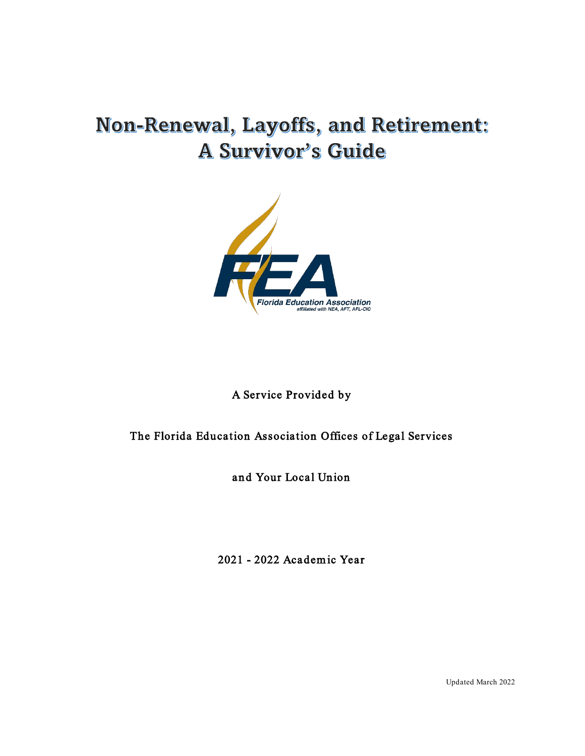# Non-Renewal, Layoffs, and Retirement: **A Survivor's Guide**



## A Service Provided by

## The Florida Education Association Offices of Legal Services

and Your Local Union

2021 - 2022 Academ ic Year

Updated March 2022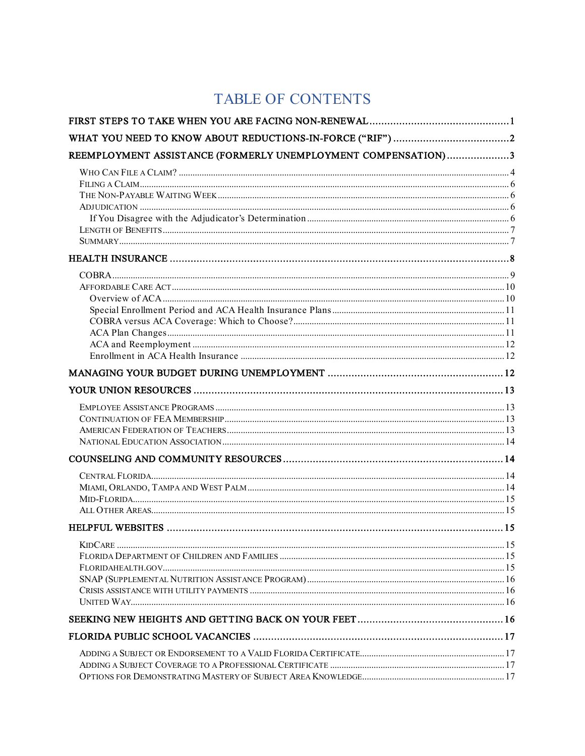## TABLE OF CONTENTS

| REEMPLOYMENT ASSISTANCE (FORMERLY UNEMPLOYMENT COMPENSATION)3 |  |
|---------------------------------------------------------------|--|
|                                                               |  |
|                                                               |  |
|                                                               |  |
|                                                               |  |
|                                                               |  |
|                                                               |  |
|                                                               |  |
|                                                               |  |
|                                                               |  |
|                                                               |  |
|                                                               |  |
|                                                               |  |
|                                                               |  |
|                                                               |  |
|                                                               |  |
|                                                               |  |
|                                                               |  |
|                                                               |  |
|                                                               |  |
|                                                               |  |
|                                                               |  |
|                                                               |  |
|                                                               |  |
|                                                               |  |
|                                                               |  |
|                                                               |  |
|                                                               |  |
|                                                               |  |
|                                                               |  |
|                                                               |  |
|                                                               |  |
|                                                               |  |
|                                                               |  |
|                                                               |  |
|                                                               |  |
|                                                               |  |
|                                                               |  |
|                                                               |  |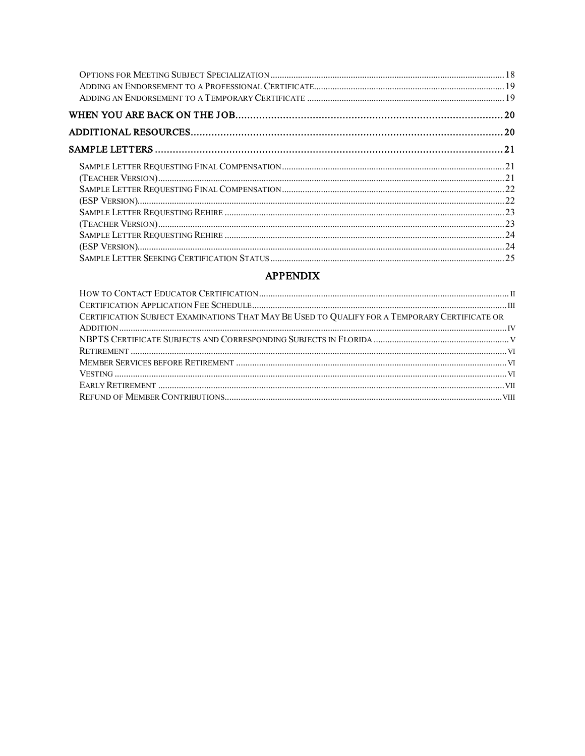#### **APPENDIX**

| CERTIFICATION SUBJECT EXAMINATIONS THAT MAY BE USED TO QUALIFY FOR A TEMPORARY CERTIFICATE OR |  |
|-----------------------------------------------------------------------------------------------|--|
|                                                                                               |  |
|                                                                                               |  |
|                                                                                               |  |
|                                                                                               |  |
|                                                                                               |  |
|                                                                                               |  |
|                                                                                               |  |
|                                                                                               |  |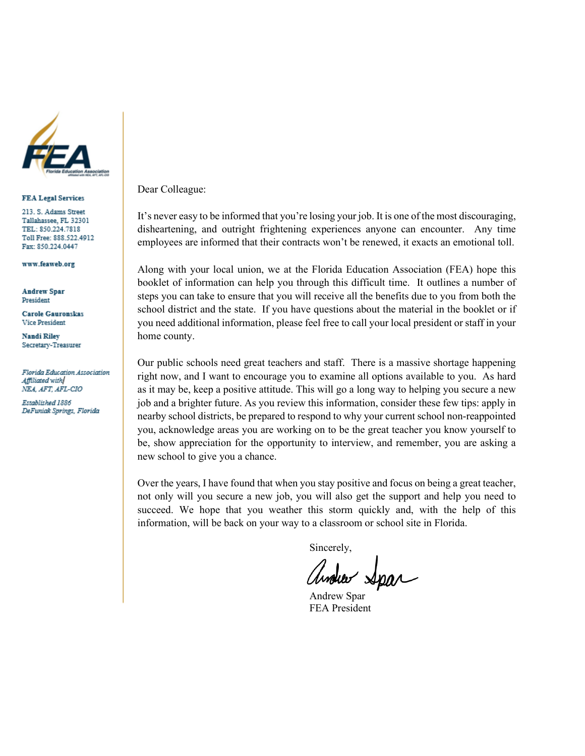

#### **FEA Legal Services**

213. S. Adams Street Tallahassee, FL 32301 TEL: 850.224.7818 Toll Free: 888.522.4912 Fax: 850.224.0447

www.feaweb.org

**Andrew Spar** President

**Carole Gauronskas Vice President** 

Nandi Riley Secretary-Treasurer

Florida Education Association Affiliated with NEA, AFT, AFL-CIO

Established 1886 DeFuniak Springs, Florida Dear Colleague:

It's never easy to be informed that you're losing your job. It is one of the most discouraging, disheartening, and outright frightening experiences anyone can encounter. Any time employees are informed that their contracts won't be renewed, it exacts an emotional toll.

Along with your local union, we at the Florida Education Association (FEA) hope this booklet of information can help you through this difficult time. It outlines a number of steps you can take to ensure that you will receive all the benefits due to you from both the school district and the state. If you have questions about the material in the booklet or if you need additional information, please feel free to call your local president or staff in your home county.

Our public schools need great teachers and staff. There is a massive shortage happening right now, and I want to encourage you to examine all options available to you. As hard as it may be, keep a positive attitude. This will go a long way to helping you secure a new job and a brighter future. As you review this information, consider these few tips: apply in nearby school districts, be prepared to respond to why your current school non-reappointed you, acknowledge areas you are working on to be the great teacher you know yourself to be, show appreciation for the opportunity to interview, and remember, you are asking a new school to give you a chance.

Over the years, I have found that when you stay positive and focus on being a great teacher, not only will you secure a new job, you will also get the support and help you need to succeed. We hope that you weather this storm quickly and, with the help of this information, will be back on your way to a classroom or school site in Florida.

Sincerely,

andrew Spar

Andrew Spar FEA President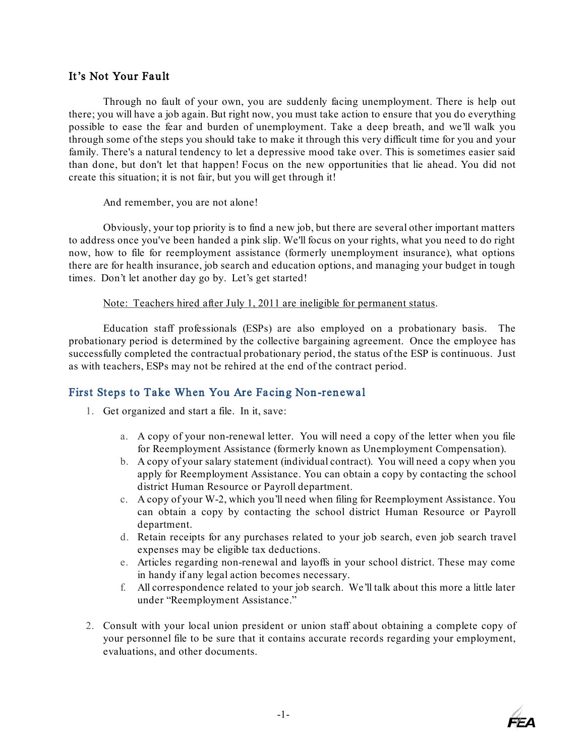## It's Not Your Fault

Through no fault of your own, you are suddenly facing unemployment. There is help out there; you will have a job again. But right now, you must take action to ensure that you do everything possible to ease the fear and burden of unemployment. Take a deep breath, and we'll walk you through some of the steps you should take to make it through this very difficult time for you and your family. There's a natural tendency to let a depressive mood take over. This is sometimes easier said than done, but don't let that happen! Focus on the new opportunities that lie ahead. You did not create this situation; it is not fair, but you will get through it!

And remember, you are not alone!

Obviously, your top priority is to find a new job, but there are several other important matters to address once you've been handed a pink slip. We'll focus on your rights, what you need to do right now, how to file for reemployment assistance (formerly unemployment insurance), what options there are for health insurance, job search and education options, and managing your budget in tough times. Don't let another day go by. Let's get started!

Note: Teachers hired after July 1, 2011 are ineligible for permanent status.

Education staff professionals (ESPs) are also employed on a probationary basis. The probationary period is determined by the collective bargaining agreement. Once the employee has successfully completed the contractual probationary period, the status of the ESP is continuous. Just as with teachers, ESPs may not be rehired at the end of the contract period.

## <span id="page-4-0"></span>First Steps to Take When You Are Facing Non-renewal

- 1. Get organized and start a file. In it, save:
	- a. A copy of your non-renewal letter. You will need a copy of the letter when you file for Reemployment Assistance (formerly known as Unemployment Compensation).
	- b. A copy of your salary statement (individual contract). You will need a copy when you apply for Reemployment Assistance. You can obtain a copy by contacting the school district Human Resource or Payroll department.
	- c. A copy of your W-2, which you'll need when filing for Reemployment Assistance. You can obtain a copy by contacting the school district Human Resource or Payroll department.
	- d. Retain receipts for any purchases related to your job search, even job search travel expenses may be eligible tax deductions.
	- e. Articles regarding non-renewal and layoffs in your school district. These may come in handy if any legal action becomes necessary.
	- f. All correspondence related to your job search. We'll talk about this more a little later under "Reemployment Assistance."
- 2. Consult with your local union president or union staff about obtaining a complete copy of your personnel file to be sure that it contains accurate records regarding your employment, evaluations, and other documents.

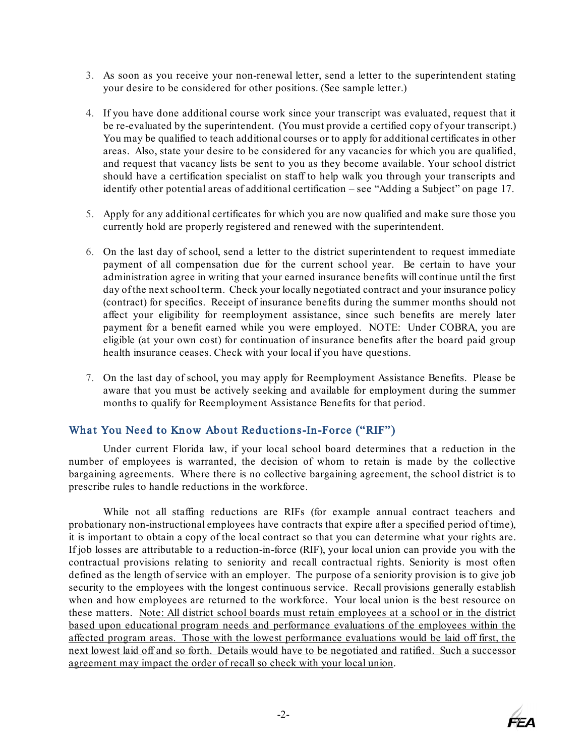- 3. As soon as you receive your non-renewal letter, send a letter to the superintendent stating your desire to be considered for other positions. (See sample letter.)
- 4. If you have done additional course work since your transcript was evaluated, request that it be re-evaluated by the superintendent. (You must provide a certified copy of your transcript.) You may be qualified to teach additional courses or to apply for additional certificates in other areas. Also, state your desire to be considered for any vacancies for which you are qualified, and request that vacancy lists be sent to you as they become available. Your school district should have a certification specialist on staff to help walk you through your transcripts and identify other potential areas of additional certification – see "Adding a Subject" on page 17.
- 5. Apply for any additional certificates for which you are now qualified and make sure those you currently hold are properly registered and renewed with the superintendent.
- 6. On the last day of school, send a letter to the district superintendent to request immediate payment of all compensation due for the current school year. Be certain to have your administration agree in writing that your earned insurance benefits will continue until the first day of the next school term. Check your locally negotiated contract and your insurance policy (contract) for specifics. Receipt of insurance benefits during the summer months should not affect your eligibility for reemployment assistance, since such benefits are merely later payment for a benefit earned while you were employed. NOTE: Under COBRA, you are eligible (at your own cost) for continuation of insurance benefits after the board paid group health insurance ceases. Check with your local if you have questions.
- 7. On the last day of school, you may apply for Reemployment Assistance Benefits. Please be aware that you must be actively seeking and available for employment during the summer months to qualify for Reemployment Assistance Benefits for that period.

## <span id="page-5-0"></span>What You Need to Know About Reductions-In-Force ("RIF")

Under current Florida law, if your local school board determines that a reduction in the number of employees is warranted, the decision of whom to retain is made by the collective bargaining agreements. Where there is no collective bargaining agreement, the school district is to prescribe rules to handle reductions in the workforce.

While not all staffing reductions are RIFs (for example annual contract teachers and probationary non-instructional employees have contracts that expire after a specified period of time), it is important to obtain a copy of the local contract so that you can determine what your rights are. If job losses are attributable to a reduction-in-force (RIF), your local union can provide you with the contractual provisions relating to seniority and recall contractual rights. Seniority is most often defined as the length of service with an employer. The purpose of a seniority provision is to give job security to the employees with the longest continuous service. Recall provisions generally establish when and how employees are returned to the workforce. Your local union is the best resource on these matters. Note: All district school boards must retain employees at a school or in the district based upon educational program needs and performance evaluations of the employees within the affected program areas. Those with the lowest performance evaluations would be laid off first, the next lowest laid off and so forth. Details would have to be negotiated and ratified. Such a successor agreement may impact the order of recall so check with your local union.

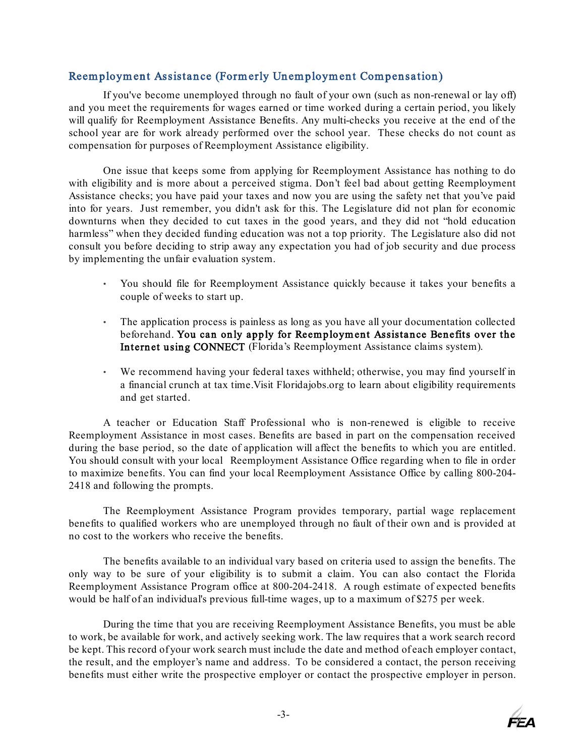## <span id="page-6-0"></span>Reem ploym ent Assistance (Formerly Unemployment Compensation)

If you've become unemployed through no fault of your own (such as non-renewal or lay off) and you meet the requirements for wages earned or time worked during a certain period, you likely will qualify for Reemployment Assistance Benefits. Any multi-checks you receive at the end of the school year are for work already performed over the school year. These checks do not count as compensation for purposes of Reemployment Assistance eligibility.

One issue that keeps some from applying for Reemployment Assistance has nothing to do with eligibility and is more about a perceived stigma. Don't feel bad about getting Reemployment Assistance checks; you have paid your taxes and now you are using the safety net that you've paid into for years. Just remember, you didn't ask for this. The Legislature did not plan for economic downturns when they decided to cut taxes in the good years, and they did not "hold education harmless" when they decided funding education was not a top priority. The Legislature also did not consult you before deciding to strip away any expectation you had of job security and due process by implementing the unfair evaluation system.

- You should file for Reemployment Assistance quickly because it takes your benefits a couple of weeks to start up.
- The application process is painless as long as you have all your documentation collected beforehand. You can only apply for Reemploym ent Assistance Benefits over the Internet using CONNECT (Florida's Reemployment Assistance claims system).
- We recommend having your federal taxes withheld; otherwise, you may find yourself in a financial crunch at tax time.Visit Floridajobs.org to learn about eligibility requirements and get started.

A teacher or Education Staff Professional who is non-renewed is eligible to receive Reemployment Assistance in most cases. Benefits are based in part on the compensation received during the base period, so the date of application will affect the benefits to which you are entitled. You should consult with your local Reemployment Assistance Office regarding when to file in order to maximize benefits. You can find your local Reemployment Assistance Office by calling 800-204- 2418 and following the prompts.

The Reemployment Assistance Program provides temporary, partial wage replacement benefits to qualified workers who are unemployed through no fault of their own and is provided at no cost to the workers who receive the benefits.

The benefits available to an individual vary based on criteria used to assign the benefits. The only way to be sure of your eligibility is to submit a claim. You can also contact the Florida Reemployment Assistance Program office at 800-204-2418. A rough estimate of expected benefits would be half of an individual's previous full-time wages, up to a maximum of \$275 per week.

During the time that you are receiving Reemployment Assistance Benefits, you must be able to work, be available for work, and actively seeking work. The law requires that a work search record be kept. This record of your work search must include the date and method of each employer contact, the result, and the employer's name and address. To be considered a contact, the person receiving benefits must either write the prospective employer or contact the prospective employer in person.

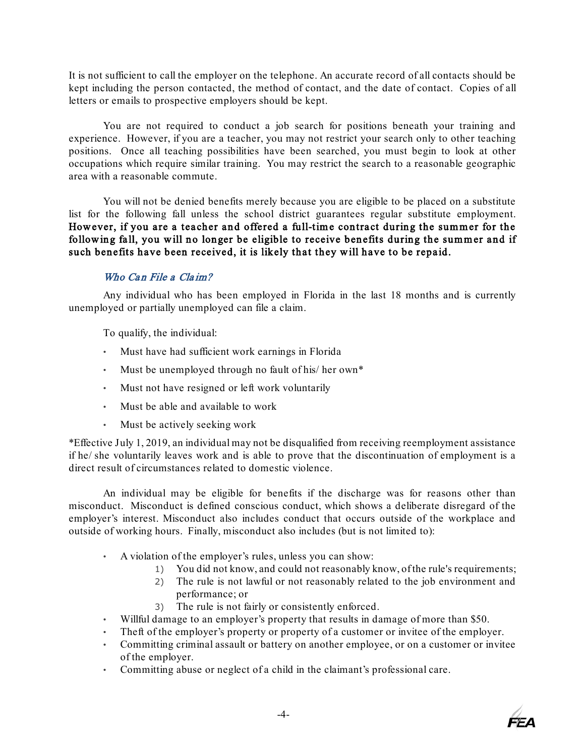It is not sufficient to call the employer on the telephone. An accurate record of all contacts should be kept including the person contacted, the method of contact, and the date of contact. Copies of all letters or emails to prospective employers should be kept.

You are not required to conduct a job search for positions beneath your training and experience. However, if you are a teacher, you may not restrict your search only to other teaching positions. Once all teaching possibilities have been searched, you must begin to look at other occupations which require similar training. You may restrict the search to a reasonable geographic area with a reasonable commute.

You will not be denied benefits merely because you are eligible to be placed on a substitute list for the following fall unless the school district guarantees regular substitute employment. However, if you are a teacher and offered a full-time contract during the summer for the following fall, you will no longer be eligible to receive benefits during the summer and if such benefits have been received, it is likely that they will have to be repaid.

## Who Can File a Claim?

<span id="page-7-0"></span>Any individual who has been employed in Florida in the last 18 months and is currently unemployed or partially unemployed can file a claim.

To qualify, the individual:

- Must have had sufficient work earnings in Florida
- Must be unemployed through no fault of his/ her own\*
- Must not have resigned or left work voluntarily
- Must be able and available to work
- Must be actively seeking work

\*Effective July 1, 2019, an individual may not be disqualified from receiving reemployment assistance if he/ she voluntarily leaves work and is able to prove that the discontinuation of employment is a direct result of circumstances related to domestic violence.

An individual may be eligible for benefits if the discharge was for reasons other than misconduct. Misconduct is defined conscious conduct, which shows a deliberate disregard of the employer's interest. Misconduct also includes conduct that occurs outside of the workplace and outside of working hours. Finally, misconduct also includes (but is not limited to):

- A violation of the employer's rules, unless you can show:
	- 1) You did not know, and could not reasonably know, of the rule's requirements;
	- 2) The rule is not lawful or not reasonably related to the job environment and performance; or
	- 3) The rule is not fairly or consistently enforced.
- Willful damage to an employer's property that results in damage of more than \$50.
- Theft of the employer's property or property of a customer or invitee of the employer.
- Committing criminal assault or battery on another employee, or on a customer or invitee of the employer.
- Committing abuse or neglect of a child in the claimant's professional care.

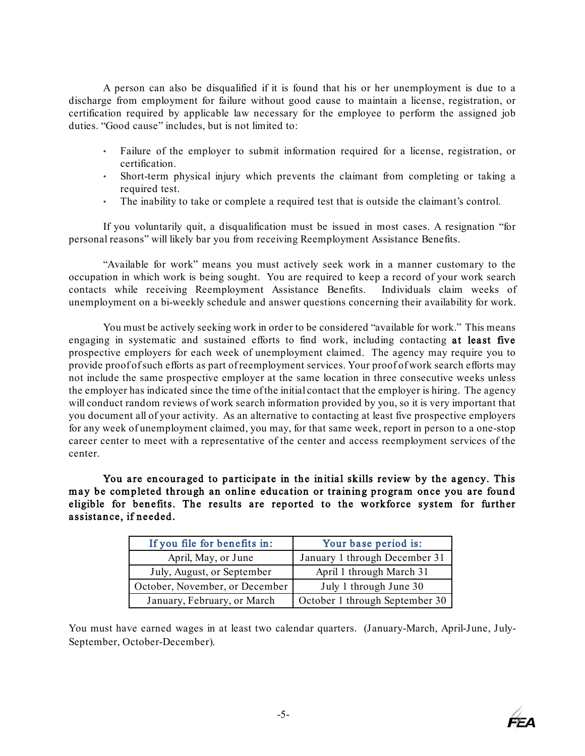A person can also be disqualified if it is found that his or her unemployment is due to a discharge from employment for failure without good cause to maintain a license, registration, or certification required by applicable law necessary for the employee to perform the assigned job duties. "Good cause" includes, but is not limited to:

- Failure of the employer to submit information required for a license, registration, or certification.
- Short-term physical injury which prevents the claimant from completing or taking a required test.
- The inability to take or complete a required test that is outside the claimant's control.

If you voluntarily quit, a disqualification must be issued in most cases. A resignation "for personal reasons" will likely bar you from receiving Reemployment Assistance Benefits.

"Available for work" means you must actively seek work in a manner customary to the occupation in which work is being sought. You are required to keep a record of your work search<br>contacts while receiving Reemployment Assistance Benefits. Individuals claim weeks of contacts while receiving Reemployment Assistance Benefits. unemployment on a bi-weekly schedule and answer questions concerning their availability for work.

You must be actively seeking work in order to be considered "available for work." This means engaging in systematic and sustained efforts to find work, including contacting at least five prospective employers for each week of unemployment claimed. The agency may require you to provide proof of such efforts as part of reemployment services. Your proof of work search efforts may not include the same prospective employer at the same location in three consecutive weeks unless the employer has indicated since the time of the initial contact that the employer is hiring. The agency will conduct random reviews of work search information provided by you, so it is very important that you document all of your activity. As an alternative to contacting at least five prospective employers for any week of unemployment claimed, you may, for that same week, report in person to a one-stop career center to meet with a representative of the center and access reemployment services of the center.

You are encouraged to participate in the initial skills review by the agency. This may be completed through an online education or training program once you are found eligible for benefits. The results are reported to the workforce system for further assistance, if needed.

| If you file for benefits in:   | Your base period is:           |
|--------------------------------|--------------------------------|
| April, May, or June            | January 1 through December 31  |
| July, August, or September     | April 1 through March 31       |
| October, November, or December | July 1 through June 30         |
| January, February, or March    | October 1 through September 30 |

You must have earned wages in at least two calendar quarters. (January-March, April-June, July-September, October-December).

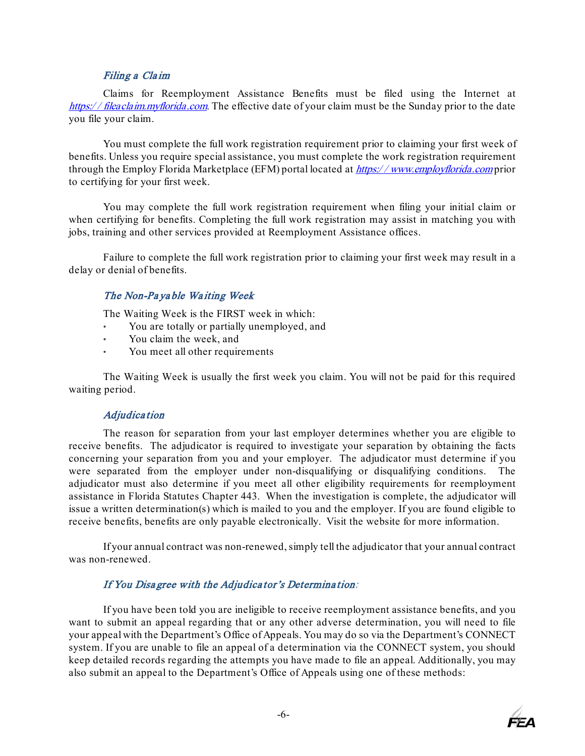#### Filing a Cla im

<span id="page-9-0"></span>Claims for Reemployment Assistance Benefits must be filed using the Internet at https://fileaclaim.myflorida.com. The effective date of your claim must be the Sunday prior to the date you file your claim.

You must complete the full work registration requirement prior to claiming your first week of benefits. Unless you require special assistance, you must complete the work registration requirement through the Employ Florida Marketplace (EFM) portal located [at](https://www.employflorida.com/vosnet/Default.aspx) *https://[www.employflorida.com](https://www.employflorida.com/vosnet/Default.aspx)* prior [to certifying](https://www.employflorida.com/vosnet/Default.aspx) for your first week.

You may complete the full work registration requirement when filing your initial claim or when certifying for benefits. Completing the full work registration may assist in matching you with jobs, training and other services provided at Reemployment Assistance offices.

<span id="page-9-1"></span>Failure to complete the full work registration prior to claiming your first week may result in a delay or denial of benefits.

## The Non-Pa ya ble Wa iting Week

The Waiting Week is the FIRST week in which:

- You are totally or partially unemployed, and
- You claim the week, and
- You meet all other requirements

The Waiting Week is usually the first week you claim. You will not be paid for this required waiting period.

## Adjudica tion

<span id="page-9-2"></span>The reason for separation from your last employer determines whether you are eligible to receive benefits. The adjudicator is required to investigate your separation by obtaining the facts concerning your separation from you and your employer. The adjudicator must determine if you were separated from the employer under non-disqualifying or disqualifying conditions. The adjudicator must also determine if you meet all other eligibility requirements for reemployment assistance in Florida Statutes Chapter 443. When the investigation is complete, the adjudicator will issue a written determination(s) which is mailed to you and the employer. If you are found eligible to receive benefits, benefits are only payable electronically. Visit the website for more information.

If your annual contract was non-renewed, simply tell the adjudicator that your annual contract was non-renewed.

## If You Disa gree with the Adjudica tor's Determination:

<span id="page-9-3"></span>If you have been told you are ineligible to receive reemployment assistance benefits, and you want to submit an appeal regarding that or any other adverse determination, you will need to file your appeal with the Department's Office of Appeals. You may do so via the Department's CONNECT system. If you are unable to file an appeal of a determination via the CONNECT system, you should keep detailed records regarding the attempts you have made to file an appeal. Additionally, you may also submit an appeal to the Department's Office of Appeals using one of these methods:

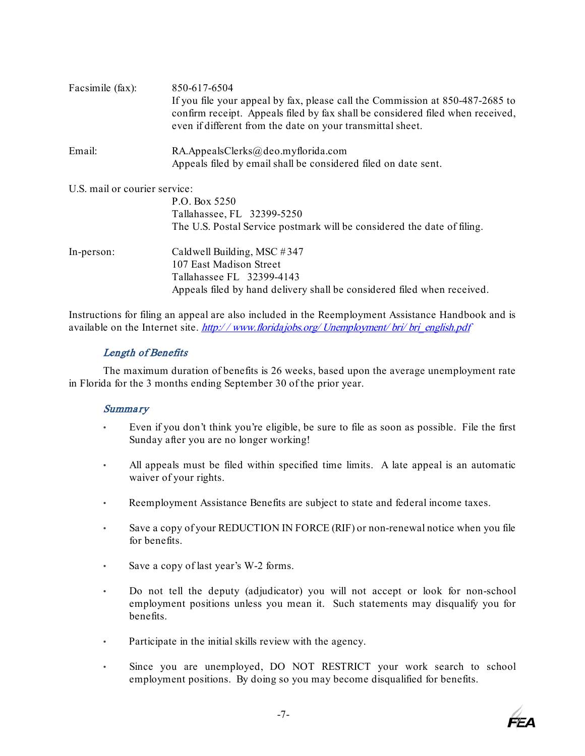| Facsimile (fax):              | 850-617-6504<br>If you file your appeal by fax, please call the Commission at 850-487-2685 to<br>confirm receipt. Appeals filed by fax shall be considered filed when received,<br>even if different from the date on your transmittal sheet. |
|-------------------------------|-----------------------------------------------------------------------------------------------------------------------------------------------------------------------------------------------------------------------------------------------|
| Email:                        | $RA.$ AppealsClerks@deo.myflorida.com                                                                                                                                                                                                         |
|                               | Appeals filed by email shall be considered filed on date sent.                                                                                                                                                                                |
| U.S. mail or courier service: |                                                                                                                                                                                                                                               |
|                               | P.O. Box 5250                                                                                                                                                                                                                                 |
|                               | Tallahassee, FL 32399-5250                                                                                                                                                                                                                    |
|                               | The U.S. Postal Service postmark will be considered the date of filing.                                                                                                                                                                       |
| In-person:                    | Caldwell Building, MSC $#347$                                                                                                                                                                                                                 |
|                               | 107 East Madison Street                                                                                                                                                                                                                       |
|                               | Tallahassee FL 32399-4143                                                                                                                                                                                                                     |
|                               | Appeals filed by hand delivery shall be considered filed when received.                                                                                                                                                                       |

Instructions for filing an appeal are also included in the Reemployment Assistance Handbook and is available on the Internet site. http://[www.floridajobs.org/](http://www.floridajobs.org/Unemployment/bri/bri_english.pdf)Unemployment/ bri/ bri\_english.p[df](http://www.floridajobs.org/Unemployment/bri/bri_english.pdf)

#### Length of Benefits

<span id="page-10-1"></span><span id="page-10-0"></span>The maximum duration of benefits is 26 weeks, based upon the average unemployment rate in Florida for the 3 months ending September 30 of the prior year.

#### **Summary**

- Even if you don't think you're eligible, be sure to file as soon as possible. File the first Sunday after you are no longer working!
- All appeals must be filed within specified time limits. A late appeal is an automatic waiver of your rights.
- Reemployment Assistance Benefits are subject to state and federal income taxes.
- Save a copy of your REDUCTION IN FORCE (RIF) or non-renewal notice when you file for benefits.
- Save a copy of last year's W-2 forms.
- Do not tell the deputy (adjudicator) you will not accept or look for non-school employment positions unless you mean it. Such statements may disqualify you for benefits.
- Participate in the initial skills review with the agency.
- Since you are unemployed, DO NOT RESTRICT your work search to school employment positions. By doing so you may become disqualified for benefits.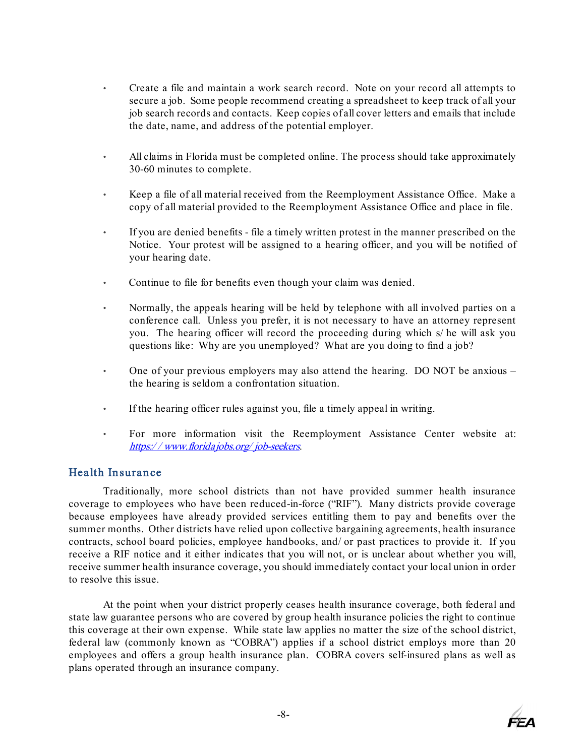- Create a file and maintain a work search record. Note on your record all attempts to secure a job. Some people recommend creating a spreadsheet to keep track of all your job search records and contacts. Keep copies of all cover letters and emails that include the date, name, and address of the potential employer.
- All claims in Florida must be completed online. The process should take approximately 30-60 minutes to complete.
- Keep a file of all material received from the Reemployment Assistance Office. Make a copy of all material provided to the Reemployment Assistance Office and place in file.
- If you are denied benefits file a timely written protest in the manner prescribed on the Notice. Your protest will be assigned to a hearing officer, and you will be notified of your hearing date.
- Continue to file for benefits even though your claim was denied.
- Normally, the appeals hearing will be held by telephone with all involved parties on a conference call. Unless you prefer, it is not necessary to have an attorney represent you. The hearing officer will record the proceeding during which s/ he will ask you questions like: Why are you unemployed? What are you doing to find a job?
- One of your previous employers may also attend the hearing. DO NOT be anxious the hearing is seldom a confrontation situation.
- If the hearing officer rules against you, file a timely appeal in writing.
- For more information visit the Reemployment Assistance Center website at: https:/ / [www.floridajobs.org/](https://www.floridajobs.org/job-seekers) job-seeke[rs](http://www.floridajobs.org/job-seekers).

## <span id="page-11-0"></span>Health Insurance

Traditionally, more school districts than not have provided summer health insurance coverage to employees who have been reduced-in-force ("RIF"). Many districts provide coverage because employees have already provided services entitling them to pay and benefits over the summer months. Other districts have relied upon collective bargaining agreements, health insurance contracts, school board policies, employee handbooks, and/ or past practices to provide it. If you receive a RIF notice and it either indicates that you will not, or is unclear about whether you will, receive summer health insurance coverage, you should immediately contact your local union in order to resolve this issue.

At the point when your district properly ceases health insurance coverage, both federal and state law guarantee persons who are covered by group health insurance policies the right to continue this coverage at their own expense. While state law applies no matter the size of the school district, federal law (commonly known as "COBRA") applies if a school district employs more than 20 employees and offers a group health insurance plan. COBRA covers self-insured plans as well as plans operated through an insurance company.

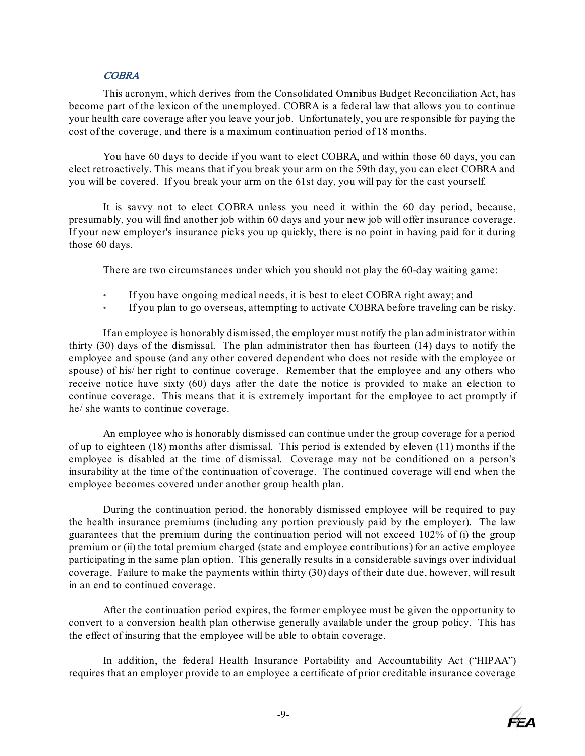#### **COBRA**

<span id="page-12-0"></span>This acronym, which derives from the Consolidated Omnibus Budget Reconciliation Act, has become part of the lexicon of the unemployed. COBRA is a federal law that allows you to continue your health care coverage after you leave your job. Unfortunately, you are responsible for paying the cost of the coverage, and there is a maximum continuation period of 18 months.

You have 60 days to decide if you want to elect COBRA, and within those 60 days, you can elect retroactively. This means that if you break your arm on the 59th day, you can elect COBRA and you will be covered. If you break your arm on the 61st day, you will pay for the cast yourself.

It is savvy not to elect COBRA unless you need it within the 60 day period, because, presumably, you will find another job within 60 days and your new job will offer insurance coverage. If your new employer's insurance picks you up quickly, there is no point in having paid for it during those 60 days.

There are two circumstances under which you should not play the 60-day waiting game:

- If you have ongoing medical needs, it is best to elect COBRA right away; and
- If you plan to go overseas, attempting to activate COBRA before traveling can be risky.

If an employee is honorably dismissed, the employer must notify the plan administrator within thirty (30) days of the dismissal. The plan administrator then has fourteen (14) days to notify the employee and spouse (and any other covered dependent who does not reside with the employee or spouse) of his/ her right to continue coverage. Remember that the employee and any others who receive notice have sixty (60) days after the date the notice is provided to make an election to continue coverage. This means that it is extremely important for the employee to act promptly if he/ she wants to continue coverage.

An employee who is honorably dismissed can continue under the group coverage for a period of up to eighteen (18) months after dismissal. This period is extended by eleven (11) months if the employee is disabled at the time of dismissal. Coverage may not be conditioned on a person's insurability at the time of the continuation of coverage. The continued coverage will end when the employee becomes covered under another group health plan.

During the continuation period, the honorably dismissed employee will be required to pay the health insurance premiums (including any portion previously paid by the employer). The law guarantees that the premium during the continuation period will not exceed 102% of (i) the group premium or (ii) the total premium charged (state and employee contributions) for an active employee participating in the same plan option. This generally results in a considerable savings over individual coverage. Failure to make the payments within thirty (30) days of their date due, however, will result in an end to continued coverage.

After the continuation period expires, the former employee must be given the opportunity to convert to a conversion health plan otherwise generally available under the group policy. This has the effect of insuring that the employee will be able to obtain coverage.

In addition, the federal Health Insurance Portability and Accountability Act ("HIPAA") requires that an employer provide to an employee a certificate of prior creditable insurance coverage

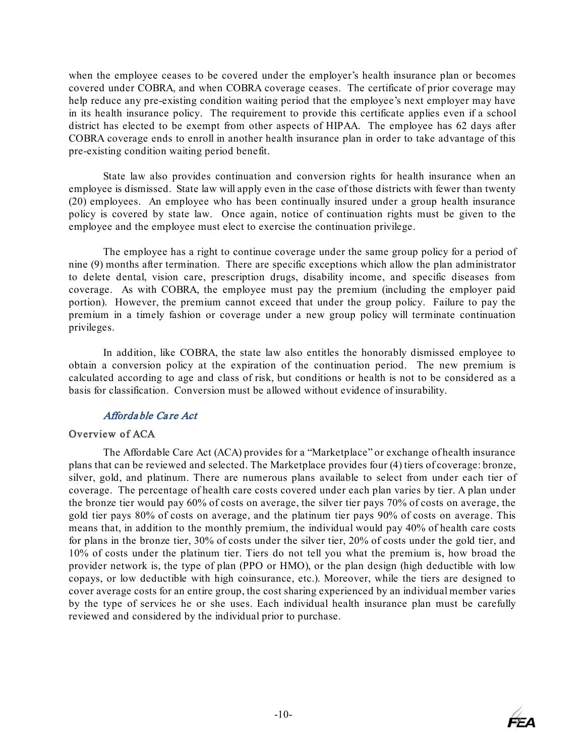when the employee ceases to be covered under the employer's health insurance plan or becomes covered under COBRA, and when COBRA coverage ceases. The certificate of prior coverage may help reduce any pre-existing condition waiting period that the employee's next employer may have in its health insurance policy. The requirement to provide this certificate applies even if a school district has elected to be exempt from other aspects of HIPAA. The employee has 62 days after COBRA coverage ends to enroll in another health insurance plan in order to take advantage of this pre-existing condition waiting period benefit.

State law also provides continuation and conversion rights for health insurance when an employee is dismissed. State law will apply even in the case of those districts with fewer than twenty (20) employees. An employee who has been continually insured under a group health insurance policy is covered by state law. Once again, notice of continuation rights must be given to the employee and the employee must elect to exercise the continuation privilege.

The employee has a right to continue coverage under the same group policy for a period of nine (9) months after termination. There are specific exceptions which allow the plan administrator to delete dental, vision care, prescription drugs, disability income, and specific diseases from coverage. As with COBRA, the employee must pay the premium (including the employer paid portion). However, the premium cannot exceed that under the group policy. Failure to pay the premium in a timely fashion or coverage under a new group policy will terminate continuation privileges.

In addition, like COBRA, the state law also entitles the honorably dismissed employee to obtain a conversion policy at the expiration of the continuation period. The new premium is calculated according to age and class of risk, but conditions or health is not to be considered as a basis for classification. Conversion must be allowed without evidence of insurability.

## Afforda ble Ca re Act

## <span id="page-13-1"></span><span id="page-13-0"></span>Overview of ACA

The Affordable Care Act (ACA) provides for a "Marketplace" or exchange of health insurance plans that can be reviewed and selected. The Marketplace provides four (4) tiers of coverage: bronze, silver, gold, and platinum. There are numerous plans available to select from under each tier of coverage. The percentage of health care costs covered under each plan varies by tier. A plan under the bronze tier would pay 60% of costs on average, the silver tier pays 70% of costs on average, the gold tier pays 80% of costs on average, and the platinum tier pays 90% of costs on average. This means that, in addition to the monthly premium, the individual would pay 40% of health care costs for plans in the bronze tier, 30% of costs under the silver tier, 20% of costs under the gold tier, and 10% of costs under the platinum tier. Tiers do not tell you what the premium is, how broad the provider network is, the type of plan (PPO or HMO), or the plan design (high deductible with low copays, or low deductible with high coinsurance, etc.). Moreover, while the tiers are designed to cover average costs for an entire group, the cost sharing experienced by an individual member varies by the type of services he or she uses. Each individual health insurance plan must be carefully reviewed and considered by the individual prior to purchase.

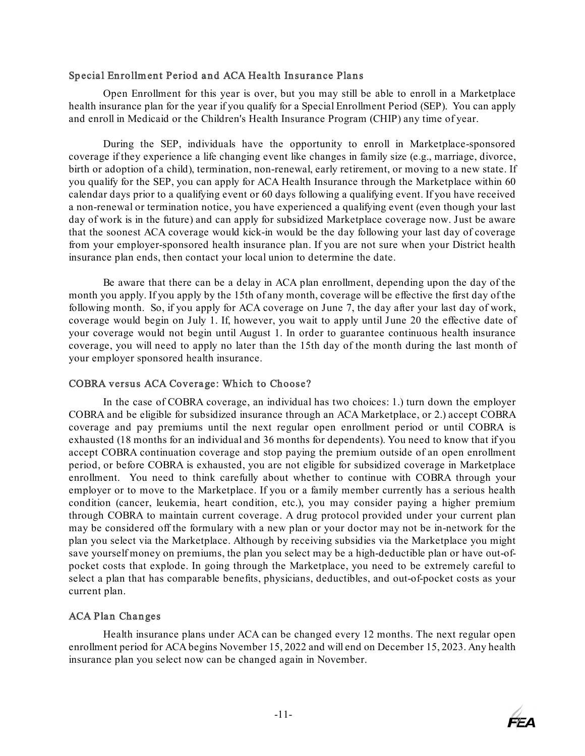#### <span id="page-14-0"></span>Special Enrollm ent Period and ACA Health Insurance Plans

Open Enrollment for this year is over, but you may still be able to enroll in a Marketplace health insurance plan for the year if you qualify for a Special Enrollment Period (SEP). You can apply and enroll in Medicaid or the Children's Health Insurance Program (CHIP) any time of year.

During the SEP, individuals have the opportunity to enroll in Marketplace-sponsored coverage if they experience a life changing event like changes in family size (e.g., marriage, divorce, birth or adoption of a child), termination, non-renewal, early retirement, or moving to a new state. If you qualify for the SEP, you can apply for ACA Health Insurance through the Marketplace within 60 calendar days prior to a qualifying event or 60 days following a qualifying event. If you have received a non-renewal or termination notice, you have experienced a qualifying event (even though your last day of work is in the future) and can apply for subsidized Marketplace coverage now. Just be aware that the soonest ACA coverage would kick-in would be the day following your last day of coverage from your employer-sponsored health insurance plan. If you are not sure when your District health insurance plan ends, then contact your local union to determine the date.

Be aware that there can be a delay in ACA plan enrollment, depending upon the day of the month you apply. If you apply by the 15th of any month, coverage will be effective the first day of the following month. So, if you apply for ACA coverage on June 7, the day after your last day of work, coverage would begin on July 1. If, however, you wait to apply until June 20 the effective date of your coverage would not begin until August 1. In order to guarantee continuous health insurance coverage, you will need to apply no later than the 15th day of the month during the last month of your employer sponsored health insurance.

## <span id="page-14-1"></span>COBRA versus ACA Coverage: Which to Choose?

In the case of COBRA coverage, an individual has two choices: 1.) turn down the employer COBRA and be eligible for subsidized insurance through an ACA Marketplace, or 2.) accept COBRA coverage and pay premiums until the next regular open enrollment period or until COBRA is exhausted (18 months for an individual and 36 months for dependents). You need to know that if you accept COBRA continuation coverage and stop paying the premium outside of an open enrollment period, or before COBRA is exhausted, you are not eligible for subsidized coverage in Marketplace enrollment. You need to think carefully about whether to continue with COBRA through your employer or to move to the Marketplace. If you or a family member currently has a serious health condition (cancer, leukemia, heart condition, etc.), you may consider paying a higher premium through COBRA to maintain current coverage. A drug protocol provided under your current plan may be considered off the formulary with a new plan or your doctor may not be in-network for the plan you select via the Marketplace. Although by receiving subsidies via the Marketplace you might save yourself money on premiums, the plan you select may be a high-deductible plan or have out-ofpocket costs that explode. In going through the Marketplace, you need to be extremely careful to select a plan that has comparable benefits, physicians, deductibles, and out-of-pocket costs as your current plan.

## <span id="page-14-2"></span>ACA Plan Changes

Health insurance plans under ACA can be changed every 12 months. The next regular open enrollment period for ACA begins November 15, 2022 and will end on December 15, 2023. Any health insurance plan you select now can be changed again in November.

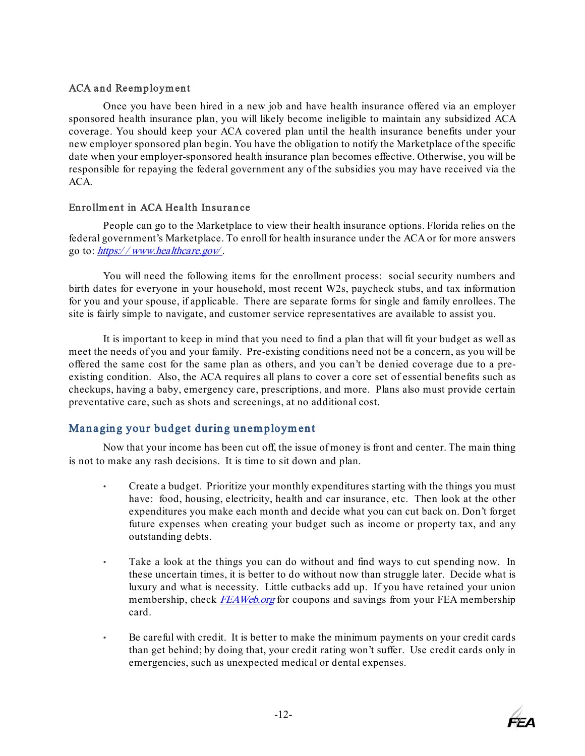## <span id="page-15-0"></span>ACA and Reemployment

Once you have been hired in a new job and have health insurance offered via an employer sponsored health insurance plan, you will likely become ineligible to maintain any subsidized ACA coverage. You should keep your ACA covered plan until the health insurance benefits under your new employer sponsored plan begin. You have the obligation to notify the Marketplace of the specific date when your employer-sponsored health insurance plan becomes effective. Otherwise, you will be responsible for repaying the federal government any of the subsidies you may have received via the ACA.

## <span id="page-15-1"></span>Enrollment in ACA Health Insurance

People can go to the Marketplace to view their health insurance options. Florida relies on the federal government's Marketplace. To enroll for health insurance under the ACA or for more answers go to: https://[www.healthcare.gov/](https://www.healthcare.gov/)[.](https://www.healthcare.gov/)

You will need the following items for the enrollment process: social security numbers and birth dates for everyone in your household, most recent W2s, paycheck stubs, and tax information for you and your spouse, if applicable. There are separate forms for single and family enrollees. The site is fairly simple to navigate, and customer service representatives are available to assist you.

It is important to keep in mind that you need to find a plan that will fit your budget as well as meet the needs of you and your family. Pre-existing conditions need not be a concern, as you will be offered the same cost for the same plan as others, and you can't be denied coverage due to a preexisting condition. Also, the ACA requires all plans to cover a core set of essential benefits such as checkups, having a baby, emergency care, prescriptions, and more. Plans also must provide certain preventative care, such as shots and screenings, at no additional cost.

## <span id="page-15-2"></span>Managing your budget during unemployment

Now that your income has been cut off, the issue of money is front and center. The main thing is not to make any rash decisions. It is time to sit down and plan.

- Create a budget. Prioritize your monthly expenditures starting with the things you must have: food, housing, electricity, health and car insurance, etc. Then look at the other expenditures you make each month and decide what you can cut back on. Don't forget future expenses when creating your budget such as income or property tax, and any outstanding debts.
- Take a look at the things you can do without and find ways to cut spending now. In these uncertain times, it is better to do without now than struggle later. Decide what is luxury and what is necessity. Little cutbacks add up. If you have retained your union membership, check [FEAWeb.org](http://feaweb.org/) for coupons and savings from your FEA membership card.
- Be careful with credit. It is better to make the minimum payments on your credit cards than get behind; by doing that, your credit rating won't suffer. Use credit cards only in emergencies, such as unexpected medical or dental expenses.

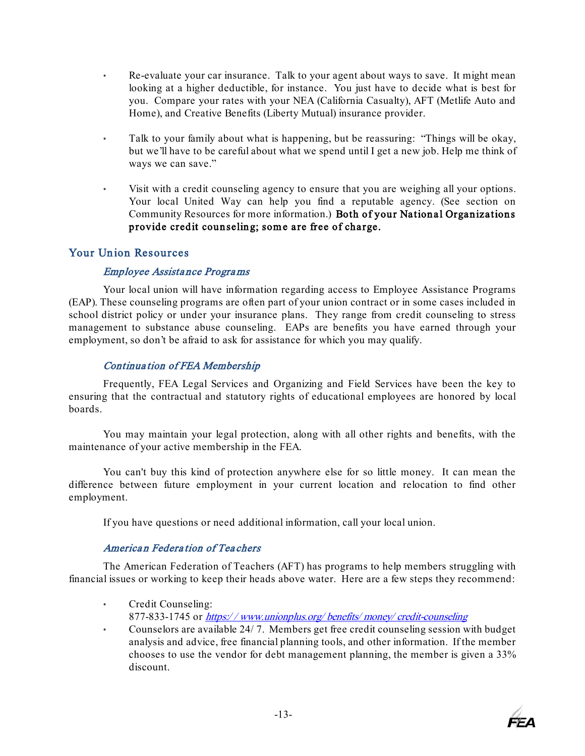- Re-evaluate your car insurance. Talk to your agent about ways to save. It might mean looking at a higher deductible, for instance. You just have to decide what is best for you. Compare your rates with your NEA (California Casualty), AFT (Metlife Auto and Home), and Creative Benefits (Liberty Mutual) insurance provider.
- Talk to your family about what is happening, but be reassuring: "Things will be okay, but we'll have to be careful about what we spend until I get a new job. Help me think of ways we can save."
- Visit with a credit counseling agency to ensure that you are weighing all your options. Your local United Way can help you find a reputable agency. (See section on Community Resources for more information.) Both of your National Organizations provide credit counseling; some are free of charge.

## <span id="page-16-1"></span><span id="page-16-0"></span>Your Union Resources

## Employee Assista nce Progra ms

Your local union will have information regarding access to Employee Assistance Programs (EAP). These counseling programs are often part of your union contract or in some cases included in school district policy or under your insurance plans. They range from credit counseling to stress management to substance abuse counseling. EAPs are benefits you have earned through your employment, so don't be afraid to ask for assistance for which you may qualify.

## Continua tion of FEA Membership

<span id="page-16-2"></span>Frequently, FEA Legal Services and Organizing and Field Services have been the key to ensuring that the contractual and statutory rights of educational employees are honored by local boards.

You may maintain your legal protection, along with all other rights and benefits, with the maintenance of your active membership in the FEA.

You can't buy this kind of protection anywhere else for so little money. It can mean the difference between future employment in your current location and relocation to find other employment.

If you have questions or need additional information, call your local union.

## America n Federa tion of Tea chers

<span id="page-16-3"></span>The American Federation of Teachers (AFT) has programs to help members struggling with financial issues or working to keep their heads above water. Here are a few steps they recommend:

- Credit Counseling: 877-833-1745 or https://[www.unionplus.org/](https://www.unionplus.org/benefits/money/credit-counseling)benefits/money/credit-counseling
- Counselors are available 24/ 7. Members get free credit counseling session with budget analysis and advice, free financial planning tools, and other information. If the member chooses to use the vendor for debt management planning, the member is given a 33% discount.

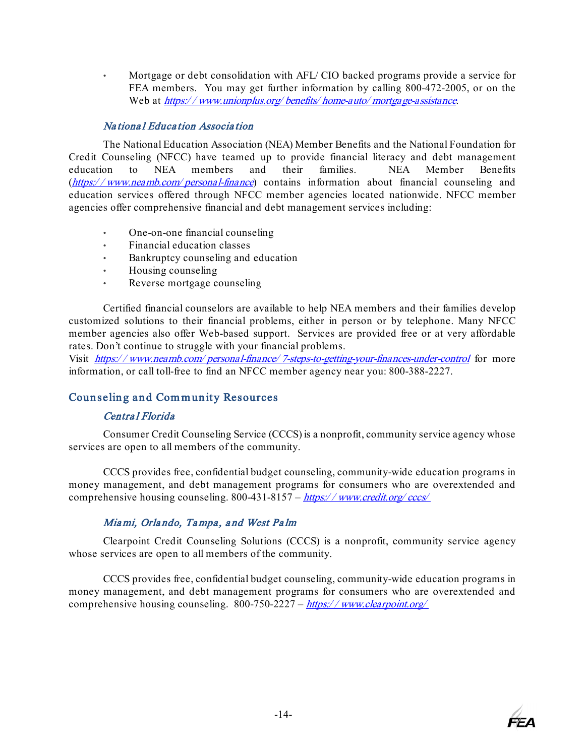• Mortgage or debt consolidation with AFL/ CIO backed programs provide a service for FEA members. You may get further information by calling 800-472-2005, or on the Web [at](https://www.unionplus.org/home-mortgage-programs) https://[www.unionplus.org/](https://www.unionplus.org/benefits/home-auto/mortgage-assistance)benefits/home-auto/mortgage-assistance.

## Na tiona l Educa tion Associa tion

<span id="page-17-0"></span>The National Education Association (NEA) Member Benefits and the National Foundation for Credit Counseling (NFCC) have teamed up to provide financial literacy and debt management education to NEA members and their families. NEA Member Benefits (https://www.neamb.com/[personal-finance](https://www.neamb.com/personal-finance)) contains information about financial counseling and education services offered through NFCC member agencies located nationwide. NFCC member agencies offer comprehensive financial and debt management services including:

- One-on-one financial counseling
- Financial education classes
- Bankruptcy counseling and education
- Housing counseling
- Reverse mortgage counseling

Certified financial counselors are available to help NEA members and their families develop customized solutions to their financial problems, either in person or by telephone. Many NFCC member agencies also offer Web-based support. Services are provided free or at very affordable rates. Don't continue to struggle with your financial problems.

Visit https://www.neamb.com/personal-finance/[7-steps-to-getting-your-finances-under-control](https://www.neamb.com/personal-finance/7-steps-to-getting-your-finances-under-control) for more information, or call toll-free to find an NFCC member agency near you: 800-388-2227.

## <span id="page-17-2"></span><span id="page-17-1"></span>Counseling and Community Resources

## Centra l Florida

Consumer Credit Counseling Service (CCCS) is a nonprofit, community service agency whose services are open to all members of the community.

CCCS provides free, confidential budget counseling, community-wide education programs in money management, and debt management programs for consumers who are overextended and comprehensive housing counseling. 800-431-8157 – https://[www.credit.org/](https://www.credit.org/cccs/)cccs/

## Mia mi, Orla ndo, Ta mpa , <sup>a</sup> nd West Pa lm

<span id="page-17-3"></span>Clearpoint Credit Counseling Solutions (CCCS) is a nonprofit, community service agency whose services are open to all members of the community.

CCCS provides free, confidential budget counseling, community-wide education programs in money management, and debt management programs for consumers who are overextended and comprehensive housing counseling.  $800-750-2227 - \frac{https://www.clearpoint.org/}{https://www.clearpoint.org/}$  $800-750-2227 - \frac{https://www.clearpoint.org/}{https://www.clearpoint.org/}$  $800-750-2227 - \frac{https://www.clearpoint.org/}{https://www.clearpoint.org/}$ 

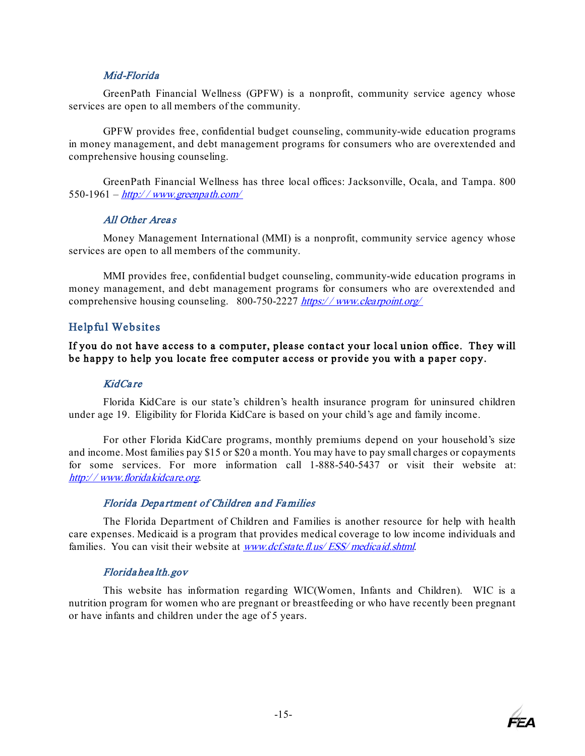#### Mid-Florida

<span id="page-18-0"></span>GreenPath Financial Wellness (GPFW) is a nonprofit, community service agency whose services are open to all members of the community.

 GPFW provides free, confidential budget counseling, community-wide education programs in money management, and debt management programs for consumers who are overextended and comprehensive housing counseling.

GreenPath Financial Wellness has three local offices: Jacksonville, Ocala, and Tampa. 800 550-1961 –  $\frac{http://www.greenpath.com/}{http://www.greenpath.com/}$  $\frac{http://www.greenpath.com/}{http://www.greenpath.com/}$  $\frac{http://www.greenpath.com/}{http://www.greenpath.com/}$ 

#### All Other Areas

<span id="page-18-1"></span>Money Management International (MMI) is a nonprofit, community service agency whose services are open to all members of the community.

MMI provides free, confidential budget counseling, community-wide education programs in money management, and debt management programs for consumers who are overextended and comprehensive housing counseling. 800-750-2227 https://[www.clearpoint.org/](https://www.clearpoint.org/)

## <span id="page-18-2"></span>Helpful Websites

## If you do not have access to a computer, please contact your local union office. They will be happy to help you locate free computer access or provide you with a paper copy.

#### KidCa re

<span id="page-18-3"></span>Florida KidCare is our state's children's health insurance program for uninsured children under age 19. Eligibility for Florida KidCare is based on your child's age and family income.

For other Florida KidCare programs, monthly premiums depend on your household's size and income. Most families pay \$15 or \$20 a month. You may have to pay small charges or copayments for some services. For more information call 1-888-540-5437 or visit their website at: http:/ / [www.floridakidcare.org](http://www.floridakidcare.org/)[.](http://www.floridakidcare.org/) 

#### Florida Depa rtment of Children a nd Fa milies

<span id="page-18-4"></span>The Florida Department of Children and Families is another resource for help with health care expenses. Medicaid is a program that provides medical coverage to low income individuals and families. You can visit their website at *[www.dcf.state.fl.us/](http://www.dcf.state.fl.us/ESS/medicaid.shtml)ESS/medicaid.shtml.* 

#### Florida hea lth.gov

<span id="page-18-5"></span>This website has information regarding WIC(Women, Infants and Children). WIC is a nutrition program for women who are pregnant or breastfeeding or who have recently been pregnant or have infants and children under the age of 5 years.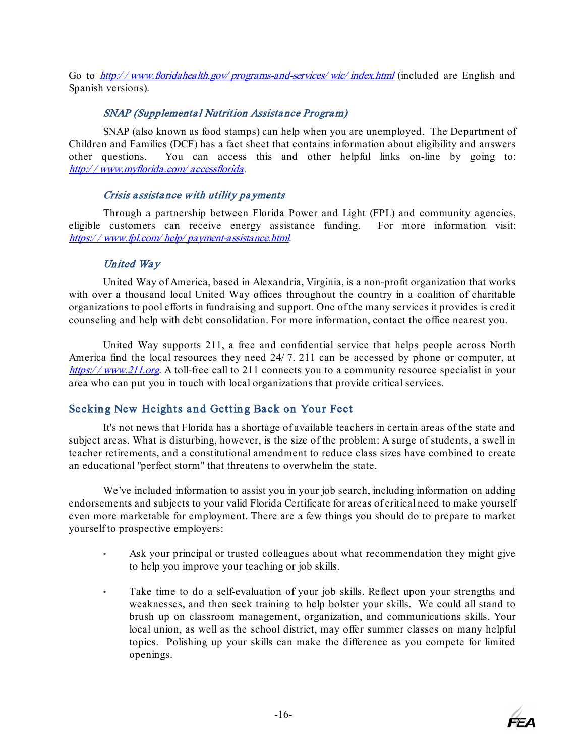Go to http://www.floridahealth.gov/programs-and-services/wic/index.html (included are English and Spanish versions).

## SNAP (Supplementa l Nutrition Assista nce Progra m)

<span id="page-19-0"></span>SNAP (also known as food stamps) can help when you are unemployed. The Department of Children and Families (DCF) has a fact sheet that contains information about eligibility and answers other questions. You can access this and other helpful links on-line by going to: http:/ / [www.myflorida.com/](http://www.myflorida.com/accessflorida/) accessflorida.

## Crisis a ssista nce with utility pa yments

<span id="page-19-1"></span>Through a partnership between Florida Power and Light (FPL) and community agencies, eligible customers can receive energy assistance funding. For more information visit: https:/ / www.fpl.com/ help/ [payment-assistance.html](https://www.fpl.com/help/payment-assistance.html).

## United Way

<span id="page-19-2"></span>United Way of America, based in Alexandria, Virginia, is a non-profit organization that works with over a thousand local United Way offices throughout the country in a coalition of charitable organizations to pool efforts in fundraising and support. One of the many services it provides is credit counseling and help with debt consolidation. For more information, contact the office nearest you.

United Way supports 211, a free and confidential service that helps people across North America find the local resources they need 24/ 7. 211 can be accessed by phone or computer, at https://www.211.org. A toll-free call to 211 connects you to a community resource specialist in your area who can put you in touch with local organizations that provide critical services.

## <span id="page-19-3"></span>Seeking New Heights and Getting Back on Your Feet

It's not news that Florida has a shortage of available teachers in certain areas of the state and subject areas. What is disturbing, however, is the size of the problem: A surge of students, a swell in teacher retirements, and a constitutional amendment to reduce class sizes have combined to create an educational "perfect storm" that threatens to overwhelm the state.

We've included information to assist you in your job search, including information on adding endorsements and subjects to your valid Florida Certificate for areas of critical need to make yourself even more marketable for employment. There are a few things you should do to prepare to market yourself to prospective employers:

- Ask your principal or trusted colleagues about what recommendation they might give to help you improve your teaching or job skills.
- Take time to do a self-evaluation of your job skills. Reflect upon your strengths and weaknesses, and then seek training to help bolster your skills. We could all stand to brush up on classroom management, organization, and communications skills. Your local union, as well as the school district, may offer summer classes on many helpful topics. Polishing up your skills can make the difference as you compete for limited openings.

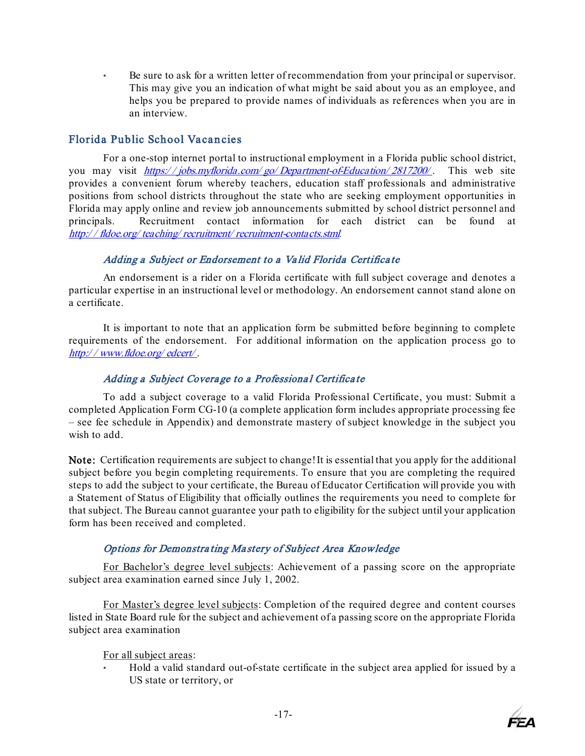• Be sure to ask for a written letter of recommendation from your principal or supervisor. This may give you an indication of what might be said about you as an employee, and helps you be prepared to provide names of individuals as references when you are in an interview.

## <span id="page-20-0"></span>Florida Public School Vacancies

For a one-stop internet portal to instructional employment in a Florida public school district, you may visit https://jobs.myflorida.com/go/[Department-of-Education/](https://jobs.myflorida.com/go/Department-of-Education/2817200/)2817200[/](https://jobs.myflorida.com/go/Department-of-Education/2817200/). This web site provides a convenient forum whereby teachers, education staff professionals and administrative positions from school districts throughout the state who are seeking employment opportunities in Florida may apply online and review job announcements submitted by school district personnel and principals. Recruitment contact information for each district can be found at http:/ / fldoe.org/ teaching/ recruitment/ [recruitment-contacts.stml](http://fldoe.org/teaching/recruitment/recruitment-contacts.stml)[.](http://fldoe.org/teaching/recruitment/recruitment-contacts.stml) 

## Adding a Subject or Endorsement to a Va lid Florida Certifica te

<span id="page-20-1"></span>An endorsement is a rider on a Florida certificate with full subject coverage and denotes a particular expertise in an instructional level or methodology. An endorsement cannot stand alone on a certificate.

It is important to note that an application form be submitted before beginning to complete requirements of the endorsement. For additional information on the application process go to http:/ / [www.fldoe.org/](http://www.fldoe.org/edcert/) edcert/ [.](http://www.fldoe.org/edcert/)

## Adding a Subject Coverage to a Professional Certificate

<span id="page-20-2"></span>To add a subject coverage to a valid Florida Professional Certificate, you must: Submit a completed Application Form CG-10 (a complete application form includes appropriate processing fee – see fee schedule in Appendix) and demonstrate mastery of subject knowledge in the subject you wish to add.

Note: Certification requirements are subject to change! It is essential that you apply for the additional subject before you begin completing requirements. To ensure that you are completing the required steps to add the subject to your certificate, the Bureau of Educator Certification will provide you with a Statement of Status of Eligibility that officially outlines the requirements you need to complete for that subject. The Bureau cannot guarantee your path to eligibility for the subject until your application form has been received and completed.

## Options for Demonstra ting Ma stery of Subject Area Knowledge

<span id="page-20-3"></span>For Bachelor's degree level subjects: Achievement of a passing score on the appropriate subject area examination earned since July 1, 2002.

For Master's degree level subjects: Completion of the required degree and content courses listed in State Board rule for the subject and achievement of a passing score on the appropriate Florida subject area examination

For all subject areas:

• Hold a valid standard out-of-state certificate in the subject area applied for issued by a US state or territory, or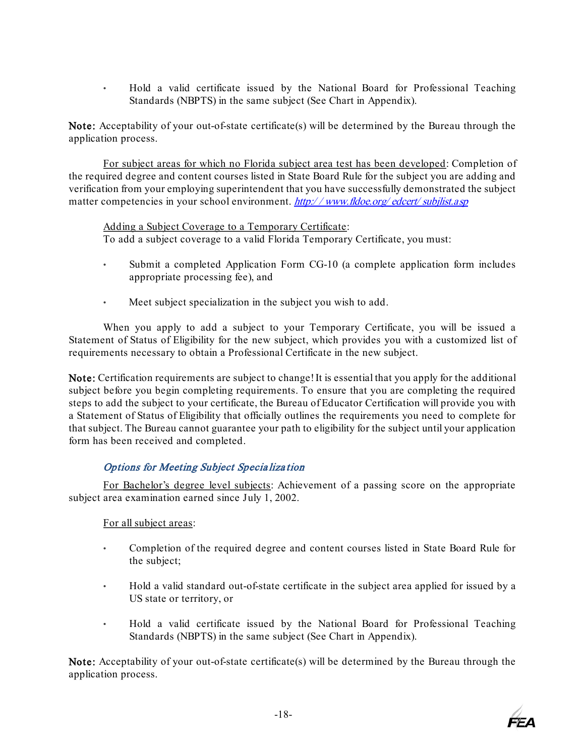• Hold a valid certificate issued by the National Board for Professional Teaching Standards (NBPTS) in the same subject (See Chart in Appendix).

Note: Acceptability of your out-of-state certificate(s) will be determined by the Bureau through the application process.

For subject areas for which no Florida subject area test has been developed: Completion of the required degree and content courses listed in State Board Rule for the subject you are adding and verification from your employing superintendent that you have successfully demonstrated the subject matter competencies in your school environment. http://[www.fldoe.org/](http://www.fldoe.org/edcert/subjlist.asp)edcert/subjlist.asp

Adding a Subject Coverage to a Temporary Certificate: To add a subject coverage to a valid Florida Temporary Certificate, you must:

- Submit a completed Application Form CG-10 (a complete application form includes appropriate processing fee), and
- Meet subject specialization in the subject you wish to add.

When you apply to add a subject to your Temporary Certificate, you will be issued a Statement of Status of Eligibility for the new subject, which provides you with a customized list of requirements necessary to obtain a Professional Certificate in the new subject.

Note: Certification requirements are subject to change! It is essential that you apply for the additional subject before you begin completing requirements. To ensure that you are completing the required steps to add the subject to your certificate, the Bureau of Educator Certification will provide you with a Statement of Status of Eligibility that officially outlines the requirements you need to complete for that subject. The Bureau cannot guarantee your path to eligibility for the subject until your application form has been received and completed.

## Options for Meeting Subject Specia liza tion

<span id="page-21-0"></span>For Bachelor's degree level subjects: Achievement of a passing score on the appropriate subject area examination earned since July 1, 2002.

## For all subject areas:

- Completion of the required degree and content courses listed in State Board Rule for the subject;
- Hold a valid standard out-of-state certificate in the subject area applied for issued by a US state or territory, or
- Hold a valid certificate issued by the National Board for Professional Teaching Standards (NBPTS) in the same subject (See Chart in Appendix).

Note: Acceptability of your out-of-state certificate(s) will be determined by the Bureau through the application process.

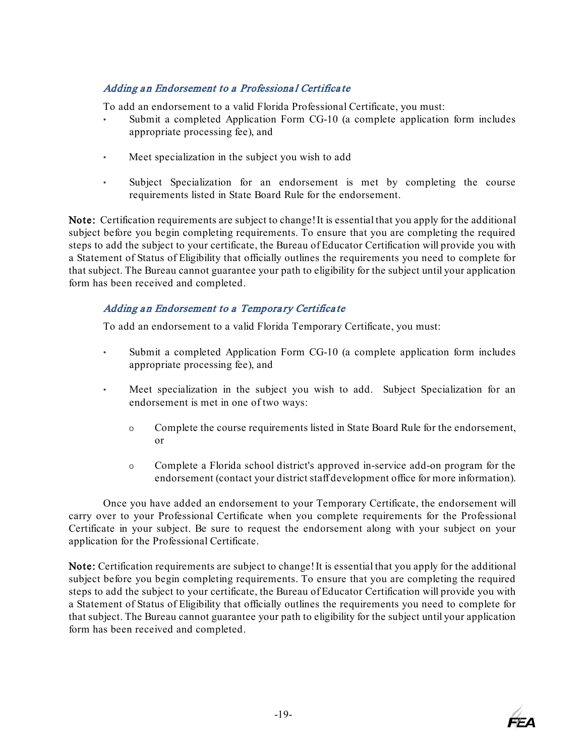## <span id="page-22-0"></span>Adding an Endorsement to a Professional Certificate

To add an endorsement to a valid Florida Professional Certificate, you must:

- Submit a completed Application Form CG-10 (a complete application form includes appropriate processing fee), and
- Meet specialization in the subject you wish to add
- Subject Specialization for an endorsement is met by completing the course requirements listed in State Board Rule for the endorsement.

Note: Certification requirements are subject to change! It is essential that you apply for the additional subject before you begin completing requirements. To ensure that you are completing the required steps to add the subject to your certificate, the Bureau of Educator Certification will provide you with a Statement of Status of Eligibility that officially outlines the requirements you need to complete for that subject. The Bureau cannot guarantee your path to eligibility for the subject until your application form has been received and completed.

## <span id="page-22-1"></span>Adding an Endorsement to a Temporary Certificate

To add an endorsement to a valid Florida Temporary Certificate, you must:

- Submit a completed Application Form CG-10 (a complete application form includes appropriate processing fee), and
- Meet specialization in the subject you wish to add. Subject Specialization for an endorsement is met in one of two ways:
	- o Complete the course requirements listed in State Board Rule for the endorsement, or
	- o Complete a Florida school district's approved in-service add-on program for the endorsement (contact your district staff development office for more information).

Once you have added an endorsement to your Temporary Certificate, the endorsement will carry over to your Professional Certificate when you complete requirements for the Professional Certificate in your subject. Be sure to request the endorsement along with your subject on your application for the Professional Certificate.

Note: Certification requirements are subject to change! It is essential that you apply for the additional subject before you begin completing requirements. To ensure that you are completing the required steps to add the subject to your certificate, the Bureau of Educator Certification will provide you with a Statement of Status of Eligibility that officially outlines the requirements you need to complete for that subject. The Bureau cannot guarantee your path to eligibility for the subject until your application form has been received and completed.

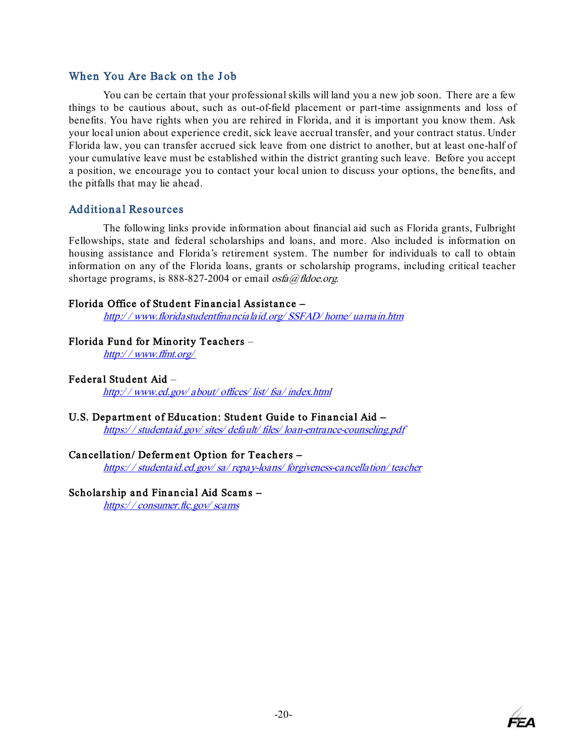## <span id="page-23-0"></span>When You Are Back on the Job

You can be certain that your professional skills will land you a new job soon. There are a few things to be cautious about, such as out-of-field placement or part-time assignments and loss of benefits. You have rights when you are rehired in Florida, and it is important you know them. Ask your local union about experience credit, sick leave accrual transfer, and your contract status. Under Florida law, you can transfer accrued sick leave from one district to another, but at least one-half of your cumulative leave must be established within the district granting such leave. Before you accept a position, we encourage you to contact your local union to discuss your options, the benefits, and the pitfalls that may lie ahead.

## <span id="page-23-1"></span>Additional Resources

The following links provide information about financial aid such as Florida grants, Fulbright Fellowships, state and federal scholarships and loans, and more. Also included is information on housing assistance and Florida's retirement system. The number for individuals to call to obtain information on any of the Florida loans, grants or scholarship programs, including critical teacher shortage programs, is 888-827-2004 or email  $osfa@fldoe.org$ .

#### [Florida Office of Student Financial Assistance –](http://www.floridastudentfinancialaid.org/SSFAD/home/uamain.htm)

http:/ / [www.floridastudentfinancialaid.org/](http://www.floridastudentfinancialaid.org/SSFAD/home/uamain.htm) SSFAD/ home/ uamain.ht[m](http://www.floridastudentfinancialaid.org/SSFAD/home/uamain.htm)

## [Florida Fund for Minority Teachers](http://www.ffmt.org/) [–](http://www.ffmt.org/)

http:/ / [www.ffmt.org/](http://www.ffmt.org/)

#### [Federal Student Aid](https://floridaea.sharepoint.com/sites/FEA_Internal/Legal/OrlandoLegalShare/Shared/_Carol.Buxton/_Teacher%20Training/Federal%20Student%20Aid) [–](http://www.ed.gov/about/offices/list/fsa/index.html)

http:/ / [www.ed.gov/](http://www.ed.gov/about/offices/list/fsa/index.html) about/ offices/ list/ fsa/ index.ht[ml](http://www.ed.gov/about/offices/list/fsa/index.html)

## U.S. Department of Education: Student Guide to Financial Aid -

https:/ / studentaid.gov/ sites/ default/ files/ [loan-entrance-counseling.pdf](https://studentaid.gov/sites/default/files/loan-entrance-counseling.pdf) 

## [Cancellation/ Deferm ent Option for Teachers –](http://studentaid.ed.gov/PORTALSWebApp/students/english/teachercancel.jsp?tab=repaying)

https:/ / studentaid.ed.gov/ sa/ repay-loans/ [forgiveness-cancellation/](https://studentaid.ed.gov/sa/repay-loans/forgiveness-cancellation/teacher) teach[er](https://studentaid.ed.gov/sa/repay-loans/forgiveness-cancellation/teacher)

## Scholarship and Financial Aid Scams -

https:/ / [consumer.ftc.gov/](https://consumer.ftc.gov/scams) scams

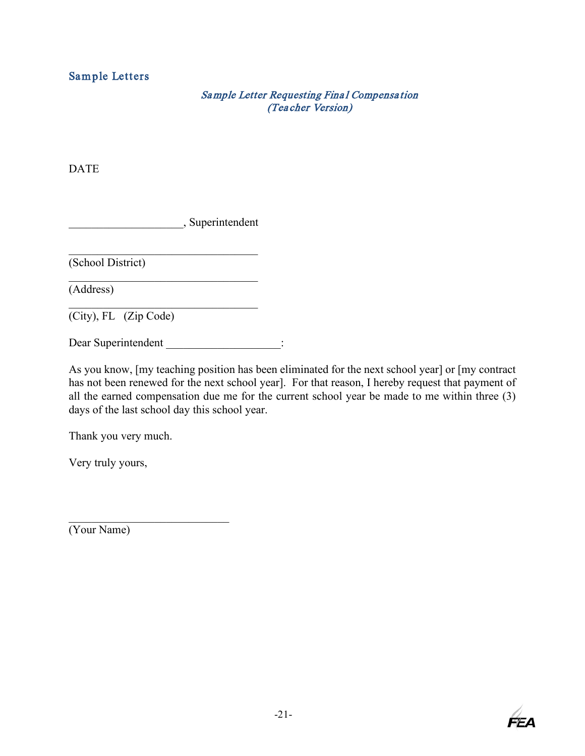## <span id="page-24-2"></span><span id="page-24-1"></span><span id="page-24-0"></span>Sample Letters

## Sa mple Letter Requesting Fina l Compensa tion (Teacher Version)

DATE

\_\_\_\_\_\_\_\_\_\_\_\_\_\_\_\_\_\_\_\_, Superintendent

 $\mathcal{L}_\text{max}$  and  $\mathcal{L}_\text{max}$  and  $\mathcal{L}_\text{max}$  and  $\mathcal{L}_\text{max}$ (School District)

(Address)

(City), FL (Zip Code)

Dear Superintendent  $\qquad \qquad$ :

As you know, [my teaching position has been eliminated for the next school year] or [my contract has not been renewed for the next school year]. For that reason, I hereby request that payment of all the earned compensation due me for the current school year be made to me within three (3) days of the last school day this school year.

Thank you very much.

Very truly yours,

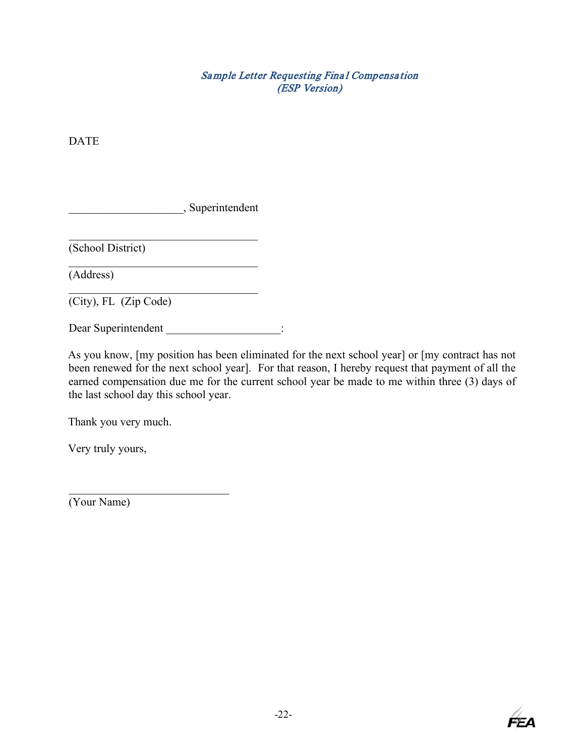Sa mple Letter Requesting Fina l Compensa tion (ESP Version)

<span id="page-25-1"></span><span id="page-25-0"></span>DATE

\_\_\_\_\_\_\_\_\_\_\_\_\_\_\_\_\_\_\_\_, Superintendent

 $\mathcal{L}_\mathcal{L}$  , where  $\mathcal{L}_\mathcal{L}$  , we are the set of the set of the set of the set of the set of the set of the set of the set of the set of the set of the set of the set of the set of the set of the set of the set o

(School District)

(Address)

(City), FL (Zip Code)

Dear Superintendent \_\_\_\_\_\_\_\_\_\_\_\_\_\_\_\_\_\_\_\_:

As you know, [my position has been eliminated for the next school year] or [my contract has not been renewed for the next school year]. For that reason, I hereby request that payment of all the earned compensation due me for the current school year be made to me within three (3) days of the last school day this school year.

Thank you very much.

Very truly yours,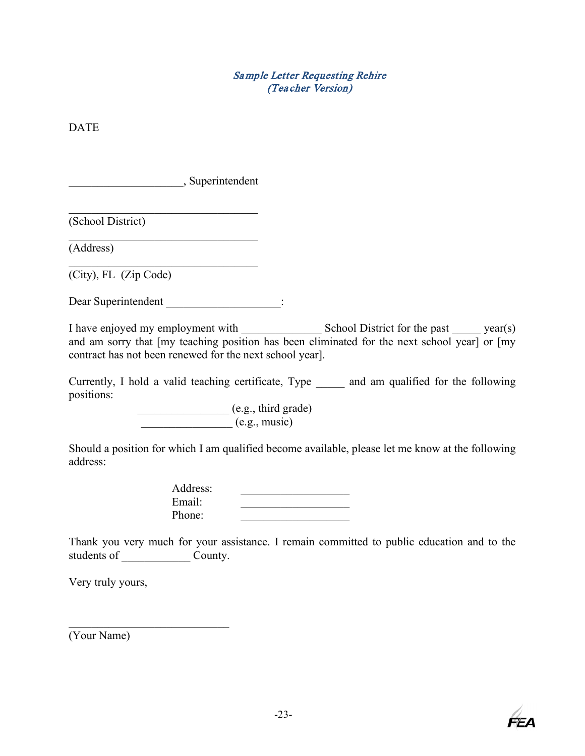## Sa mple Letter Requesting Rehire (Teacher Version)

<span id="page-26-1"></span><span id="page-26-0"></span>DATE

\_\_\_\_\_\_\_\_\_\_\_\_\_\_\_\_\_\_\_\_, Superintendent

(School District)

(Address)

(City), FL (Zip Code)

Dear Superintendent :

 $\mathcal{L}_\mathcal{L}$  , where  $\mathcal{L}_\mathcal{L}$  , we are the set of the set of the set of the set of the set of the set of the set of the set of the set of the set of the set of the set of the set of the set of the set of the set o

I have enjoyed my employment with \_\_\_\_\_\_\_\_\_\_\_\_\_\_ School District for the past \_\_\_\_\_ year(s) and am sorry that [my teaching position has been eliminated for the next school year] or [my contract has not been renewed for the next school year].

Currently, I hold a valid teaching certificate, Type \_\_\_\_\_ and am qualified for the following positions:

> \_\_\_\_\_\_\_\_\_\_\_\_\_\_\_\_ (e.g., third grade)  $(e.g., music)$

Should a position for which I am qualified become available, please let me know at the following address:

| Address: |  |
|----------|--|
| Email:   |  |
| Phone:   |  |

Thank you very much for your assistance. I remain committed to public education and to the students of \_\_\_\_\_\_\_\_\_\_\_\_\_\_\_\_\_\_\_ County.

Very truly yours,

 $\mathcal{L}_\mathcal{L}$  , which is a set of the set of the set of the set of the set of the set of the set of the set of the set of the set of the set of the set of the set of the set of the set of the set of the set of the set of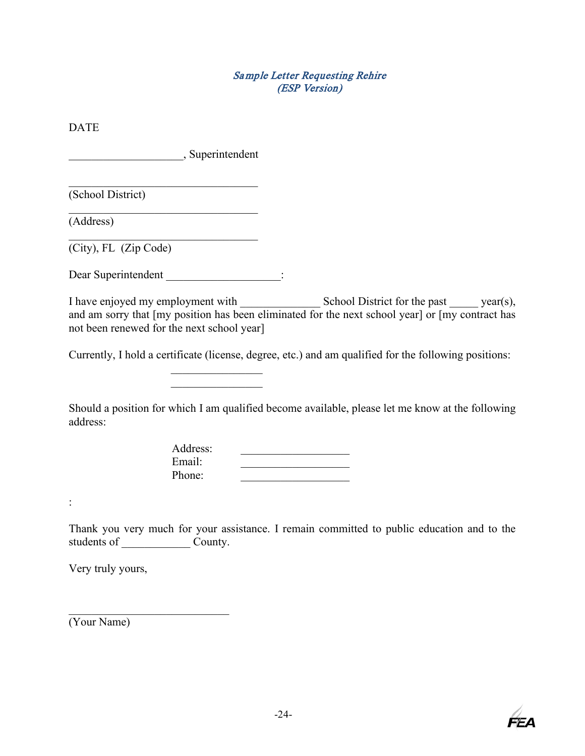## Sa mple Letter Requesting Rehire (ESP Version)

<span id="page-27-1"></span><span id="page-27-0"></span>DATE \_\_\_\_\_\_\_\_\_\_\_\_\_\_\_\_\_\_\_\_, Superintendent  $\mathcal{L}_\mathcal{L}$  , where  $\mathcal{L}_\mathcal{L}$  , we are the set of the set of the set of the set of the set of the set of the set of the set of the set of the set of the set of the set of the set of the set of the set of the set o (School District) (Address) (City), FL (Zip Code) Dear Superintendent  $\qquad$ : I have enjoyed my employment with \_\_\_\_\_\_\_\_\_\_\_\_\_\_\_\_\_\_\_\_\_\_\_\_\_\_\_\_\_\_\_ School District for the past \_\_\_\_\_\_\_\_ year(s), and am sorry that [my position has been eliminated for the next school year] or [my contract has not been renewed for the next school year] Currently, I hold a certificate (license, degree, etc.) and am qualified for the following positions:  $\mathcal{L}_\text{max}$  . The set of the set of the set of the set of the set of the set of the set of the set of the set of the set of the set of the set of the set of the set of the set of the set of the set of the set of the set Should a position for which I am qualified become available, please let me know at the following address: Address: Email: \_\_\_\_\_\_\_\_\_\_\_\_\_\_\_\_\_\_\_ Phone: : Thank you very much for your assistance. I remain committed to public education and to the students of \_\_\_\_\_\_\_\_\_\_\_\_ County. Very truly yours,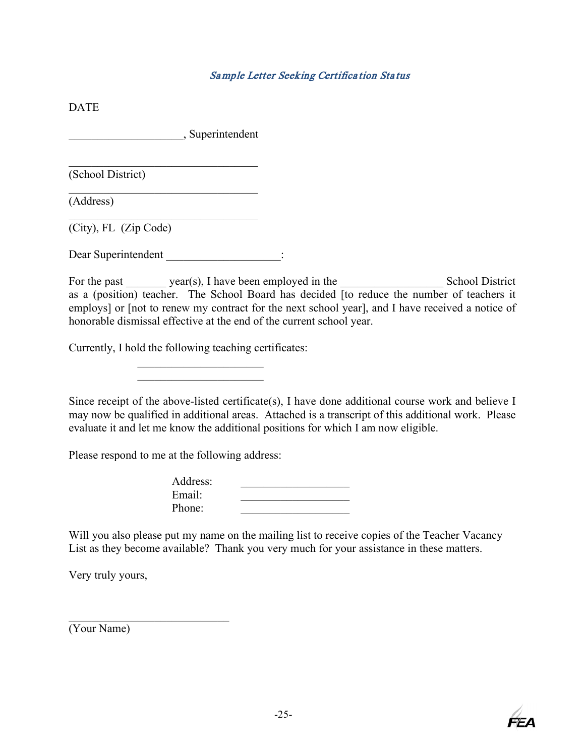## Sa mple Letter Seeking Certifica tion Sta tus

<span id="page-28-0"></span>DATE

\_\_\_\_\_\_\_\_\_\_\_\_\_\_\_\_\_\_\_\_, Superintendent

 $\mathcal{L}_\mathcal{L}$  , where  $\mathcal{L}_\mathcal{L}$  , we are the set of the set of the set of the set of the set of the set of the set of the set of the set of the set of the set of the set of the set of the set of the set of the set o

 $\mathcal{L}_\mathcal{L}$  , where  $\mathcal{L}_\mathcal{L}$  , we are the set of the set of the set of the set of the set of the set of the set of the set of the set of the set of the set of the set of the set of the set of the set of the set o

(School District)

(Address)

(City), FL (Zip Code)

Dear Superintendent  $\qquad$ :

For the past \_\_\_\_\_\_\_ year(s), I have been employed in the \_\_\_\_\_\_\_\_\_\_\_\_\_\_\_\_\_\_ School District as a (position) teacher. The School Board has decided [to reduce the number of teachers it employs] or [not to renew my contract for the next school year], and I have received a notice of honorable dismissal effective at the end of the current school year.

Currently, I hold the following teaching certificates:

 $\overline{\phantom{a}}$  . The set of the set of the set of the set of the set of the set of the set of the set of the set of the set of the set of the set of the set of the set of the set of the set of the set of the set of the set o

Since receipt of the above-listed certificate(s), I have done additional course work and believe I may now be qualified in additional areas. Attached is a transcript of this additional work. Please evaluate it and let me know the additional positions for which I am now eligible.

Please respond to me at the following address:

| Address: |  |
|----------|--|
| Email:   |  |
| Phone:   |  |

Will you also please put my name on the mailing list to receive copies of the Teacher Vacancy List as they become available? Thank you very much for your assistance in these matters.

Very truly yours,

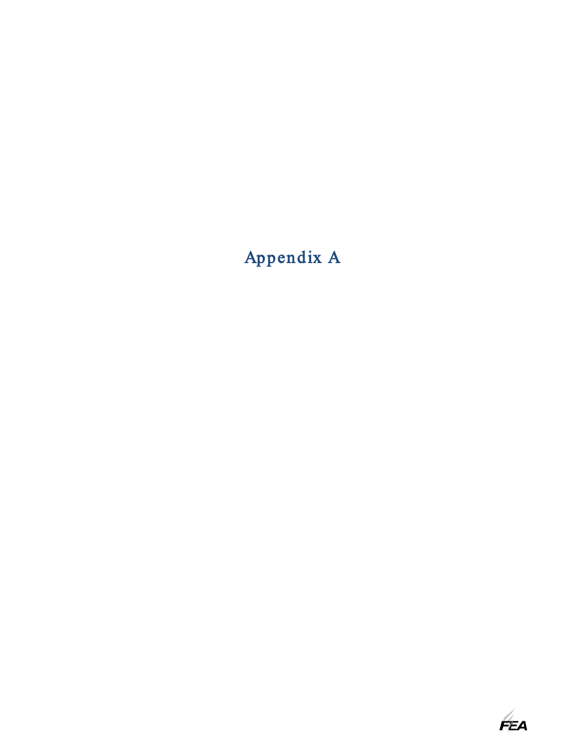## Appendix A

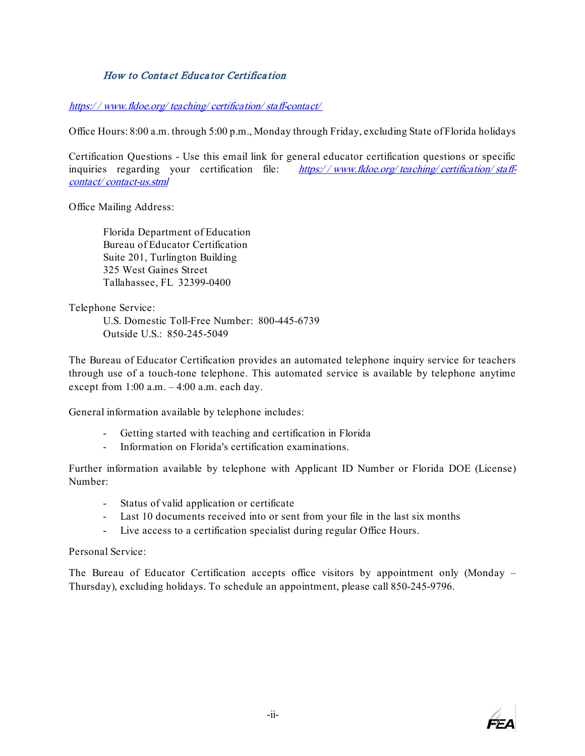## How to Conta ct Educa tor Certifica tion

#### <span id="page-30-0"></span>https:/ / [www.fldoe.org/](https://www.fldoe.org/teaching/certification/staff-contact/) teaching/ certification/ staff-contact/

Office Hours: 8:00 a.m. through 5:00 p.m., Monday through Friday, excluding State of Florida holidays

Certification Questions - Use this email link for general educator certification questions or specific inquiries regarding your certification file:  $https://www.ddoe.org/teaching/certification/stat.$ contact/ [contact-us.stml](https://www.fldoe.org/teaching/certification/staff-contact/contact-us.stml)

Office Mailing Address:

Florida Department of Education Bureau of Educator Certification Suite 201, Turlington Building 325 West Gaines Street Tallahassee, FL 32399-0400

Telephone Service:

U.S. Domestic Toll-Free Number: 800-445-6739 Outside U.S.: 850-245-5049

The Bureau of Educator Certification provides an automated telephone inquiry service for teachers through use of a touch-tone telephone. This automated service is available by telephone anytime except from 1:00 a.m. – 4:00 a.m. each day.

General information available by telephone includes:

- Getting started with teaching and certification in Florida
- Information on Florida's certification examinations.

Further information available by telephone with Applicant ID Number or Florida DOE (License) Number:

- Status of valid application or certificate
- Last 10 documents received into or sent from your file in the last six months
- Live access to a certification specialist during regular Office Hours.

Personal Service:

The Bureau of Educator Certification accepts office visitors by appointment only (Monday – Thursday), excluding holidays. To schedule an appointment, please call 850-245-9796.

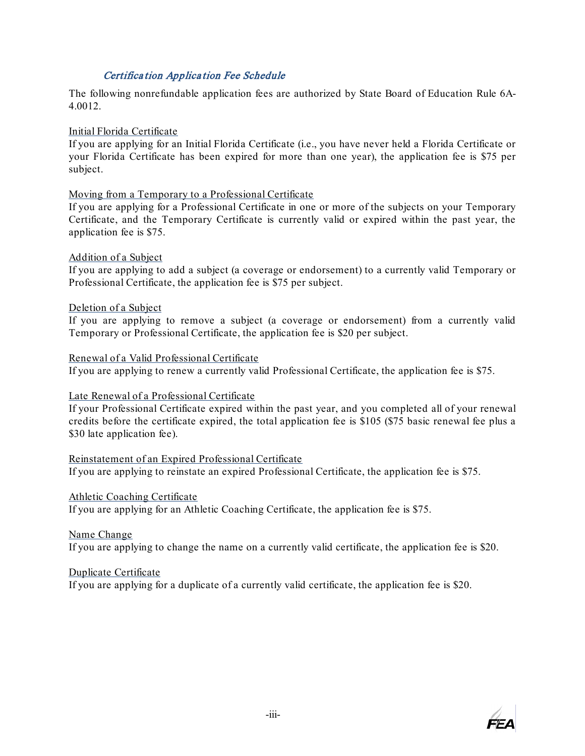## Certifica tion Applica tion Fee Schedule

<span id="page-31-0"></span>The following nonrefundable application fees are authorized by State Board of Education Rule 6A-4.0012.

Initial Florida Certificate

If you are applying for an Initial Florida Certificate (i.e., you have never held a Florida Certificate or your Florida Certificate has been expired for more than one year), the application fee is \$75 per subject.

#### Moving from a Temporary to a Professional Certificate

If you are applying for a Professional Certificate in one or more of the subjects on your Temporary Certificate, and the Temporary Certificate is currently valid or expired within the past year, the application fee is \$75.

#### Addition of a Subject

If you are applying to add a subject (a coverage or endorsement) to a currently valid Temporary or Professional Certificate, the application fee is \$75 per subject.

#### Deletion of a Subject

If you are applying to remove a subject (a coverage or endorsement) from a currently valid Temporary or Professional Certificate, the application fee is \$20 per subject.

#### Renewal of a Valid Professional Certificate

If you are applying to renew a currently valid Professional Certificate, the application fee is \$75.

## Late Renewal of a Professional Certificate

If your Professional Certificate expired within the past year, and you completed all of your renewal credits before the certificate expired, the total application fee is \$105 (\$75 basic renewal fee plus a \$30 late application fee).

## Reinstatement of an Expired Professional Certificate

If you are applying to reinstate an expired Professional Certificate, the application fee is \$75.

#### Athletic Coaching Certificate

If you are applying for an Athletic Coaching Certificate, the application fee is \$75.

## Name Change

If you are applying to change the name on a currently valid certificate, the application fee is \$20.

#### Duplicate Certificate

If you are applying for a duplicate of a currently valid certificate, the application fee is \$20.

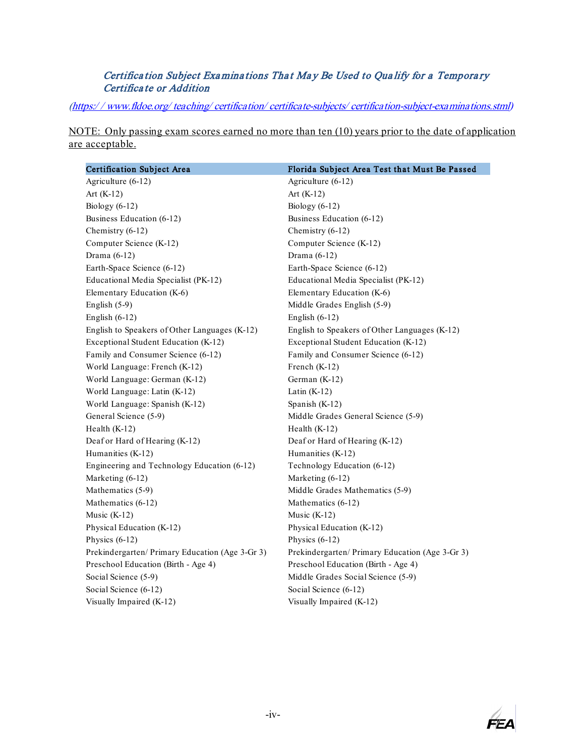## Certification Subject Examinations That May Be Used to Qualify for a Temporary Certifica te or Addition

<span id="page-32-0"></span>(https:/ / www.fldoe.org/ teaching/ certification/ certificate-subjects/ [certification-subject-examinations.stml\)](https://www.fldoe.org/teaching/certification/certificate-subjects/certification-subject-examinations.stml)

NOTE: Only passing exam scores earned no more than ten (10) years prior to the date of application are acceptable.

| Certification Subject Area                      | Florida Subject Area Test that Must Be Passed   |
|-------------------------------------------------|-------------------------------------------------|
| Agriculture (6-12)                              | Agriculture (6-12)                              |
| Art $(K-12)$                                    | Art $(K-12)$                                    |
| Biology $(6-12)$                                | Biology $(6-12)$                                |
| Business Education (6-12)                       | Business Education (6-12)                       |
| Chemistry (6-12)                                | Chemistry (6-12)                                |
| Computer Science (K-12)                         | Computer Science (K-12)                         |
| Drama $(6-12)$                                  | Drama $(6-12)$                                  |
| Earth-Space Science (6-12)                      | Earth-Space Science (6-12)                      |
| Educational Media Specialist (PK-12)            | Educational Media Specialist (PK-12)            |
| Elementary Education (K-6)                      | Elementary Education (K-6)                      |
| English $(5-9)$                                 | Middle Grades English (5-9)                     |
| English $(6-12)$                                | English $(6-12)$                                |
| English to Speakers of Other Languages (K-12)   | English to Speakers of Other Languages (K-12)   |
| Exceptional Student Education (K-12)            | Exceptional Student Education (K-12)            |
| Family and Consumer Science (6-12)              | Family and Consumer Science (6-12)              |
| World Language: French (K-12)                   | French (K-12)                                   |
| World Language: German (K-12)                   | German (K-12)                                   |
| World Language: Latin (K-12)                    | Latin $(K-12)$                                  |
| World Language: Spanish (K-12)                  | Spanish $(K-12)$                                |
| General Science (5-9)                           | Middle Grades General Science (5-9)             |
| Health $(K-12)$                                 | Health $(K-12)$                                 |
| Deaf or Hard of Hearing (K-12)                  | Deaf or Hard of Hearing (K-12)                  |
| Humanities (K-12)                               | Humanities (K-12)                               |
| Engineering and Technology Education (6-12)     | Technology Education (6-12)                     |
| Marketing (6-12)                                | Marketing (6-12)                                |
| Mathematics (5-9)                               | Middle Grades Mathematics (5-9)                 |
| Mathematics (6-12)                              | Mathematics (6-12)                              |
| Music $(K-12)$                                  | Music $(K-12)$                                  |
| Physical Education (K-12)                       | Physical Education (K-12)                       |
| Physics $(6-12)$                                | Physics $(6-12)$                                |
| Prekindergarten/ Primary Education (Age 3-Gr 3) | Prekindergarten/ Primary Education (Age 3-Gr 3) |
| Preschool Education (Birth - Age 4)             | Preschool Education (Birth - Age 4)             |
| Social Science (5-9)                            | Middle Grades Social Science (5-9)              |
| Social Science (6-12)                           | Social Science (6-12)                           |
| Visually Impaired (K-12)                        | Visually Impaired (K-12)                        |

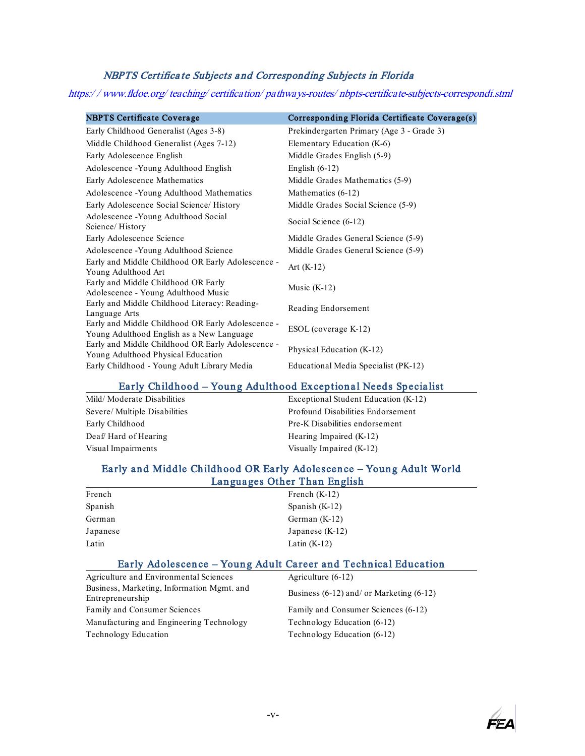## NBPTS Certifica te Subjects a nd Corresponding Subjects in Florida

<span id="page-33-0"></span>https:/ / www.fldoe.org/ teaching/ certification/ pathways-routes/ nbpts-certificate-subjects-correspondi.stml

| <b>NBPTS Certificate Coverage</b>                                                              | Corresponding Florida Certificate Coverage(s) |
|------------------------------------------------------------------------------------------------|-----------------------------------------------|
| Early Childhood Generalist (Ages 3-8)                                                          | Prekindergarten Primary (Age 3 - Grade 3)     |
| Middle Childhood Generalist (Ages 7-12)                                                        | Elementary Education (K-6)                    |
| Early Adolescence English                                                                      | Middle Grades English (5-9)                   |
| Adolescence - Young Adulthood English                                                          | English $(6-12)$                              |
| Early Adolescence Mathematics                                                                  | Middle Grades Mathematics (5-9)               |
| Adolescence - Young Adulthood Mathematics                                                      | Mathematics (6-12)                            |
| Early Adolescence Social Science/ History                                                      | Middle Grades Social Science (5-9)            |
| Adolescence - Young Adulthood Social<br>Science/History                                        | Social Science (6-12)                         |
| Early Adolescence Science                                                                      | Middle Grades General Science (5-9)           |
| Adolescence - Young Adulthood Science                                                          | Middle Grades General Science (5-9)           |
| Early and Middle Childhood OR Early Adolescence -<br>Young Adulthood Art                       | Art $(K-12)$                                  |
| Early and Middle Childhood OR Early<br>Adolescence - Young Adulthood Music                     | Music $(K-12)$                                |
| Early and Middle Childhood Literacy: Reading-<br>Language Arts                                 | Reading Endorsement                           |
| Early and Middle Childhood OR Early Adolescence -<br>Young Adulthood English as a New Language | ESOL (coverage K-12)                          |
| Early and Middle Childhood OR Early Adolescence -<br>Young Adulthood Physical Education        | Physical Education (K-12)                     |
| Early Childhood - Young Adult Library Media                                                    | Educational Media Specialist (PK-12)          |

#### Early Childhood – Young Adulthood Exceptional Needs Specialist

| Mild/ Moderate Disabilities   | Exceptional Student Education (K-12) |
|-------------------------------|--------------------------------------|
| Severe/ Multiple Disabilities | Profound Disabilities Endorsement    |
| Early Childhood               | Pre-K Disabilities endorsement       |
| Deaf/Hard of Hearing          | Hearing Impaired (K-12)              |
| Visual Impairments            | Visually Impaired (K-12)             |
|                               |                                      |

## Early and Middle Childhood OR Early Adolescence – Young Adult World Languages Other Than English

| French   | French $(K-12)$   |  |
|----------|-------------------|--|
| Spanish  | Spanish $(K-12)$  |  |
| German   | German $(K-12)$   |  |
| Japanese | Japanese $(K-12)$ |  |
| Latin    | Latin $(K-12)$    |  |
|          |                   |  |

## Early Adolescence – Young Adult Career and Technical Education

| Agriculture and Environmental Sciences                         | Agriculture $(6-12)$                         |
|----------------------------------------------------------------|----------------------------------------------|
| Business, Marketing, Information Mgmt. and<br>Entrepreneurship | Business $(6-12)$ and/ or Marketing $(6-12)$ |
| Family and Consumer Sciences                                   | Family and Consumer Sciences (6-12)          |
| Manufacturing and Engineering Technology                       | Technology Education (6-12)                  |
| Technology Education                                           | Technology Education (6-12)                  |

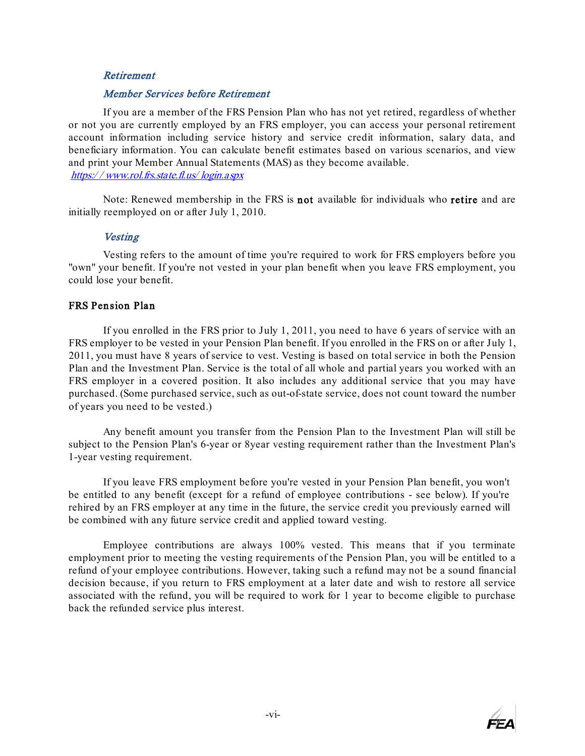#### <span id="page-34-0"></span>Retirement

#### <span id="page-34-1"></span>[Member Services before Retirement](https://www.rol.frs.state.fl.us/login.aspx)

If you are a member of the FRS Pension Plan who has not yet retired, regardless of whether or not you are currently employed by an FRS employer, you can access your personal retirement account information including service history and service credit information, salary data, and beneficiary information. You can calculate benefit estimates based on various scenarios, and view and print your Member Annual Statements (MAS) as they become available. https:/ / www.rol.frs.state.fl.us/ login.aspx

Note: Renewed membership in the FRS is not available for individuals who retire and are initially reemployed on or after July 1, 2010.

#### **Vesting**

<span id="page-34-2"></span>Vesting refers to the amount of time you're required to work for FRS employers before you "own" your benefit. If you're not vested in your plan benefit when you leave FRS employment, you could lose your benefit.

#### FRS Pension Plan

If you enrolled in the FRS prior to July 1, 2011, you need to have 6 years of service with an FRS employer to be vested in your Pension Plan benefit. If you enrolled in the FRS on or after July 1, 2011, you must have 8 years of service to vest. Vesting is based on total service in both the Pension Plan and the Investment Plan. Service is the total of all whole and partial years you worked with an FRS employer in a covered position. It also includes any additional service that you may have purchased. (Some purchased service, such as out-of-state service, does not count toward the number of years you need to be vested.)

Any benefit amount you transfer from the Pension Plan to the Investment Plan will still be subject to the Pension Plan's 6-year or 8year vesting requirement rather than the Investment Plan's 1-year vesting requirement.

If you leave FRS employment before you're vested in your Pension Plan benefit, you won't be entitled to any benefit (except for a refund of employee contributions - see below). If you're rehired by an FRS employer at any time in the future, the service credit you previously earned will be combined with any future service credit and applied toward vesting.

Employee contributions are always 100% vested. This means that if you terminate employment prior to meeting the vesting requirements of the Pension Plan, you will be entitled to a refund of your employee contributions. However, taking such a refund may not be a sound financial decision because, if you return to FRS employment at a later date and wish to restore all service associated with the refund, you will be required to work for 1 year to become eligible to purchase back the refunded service plus interest.

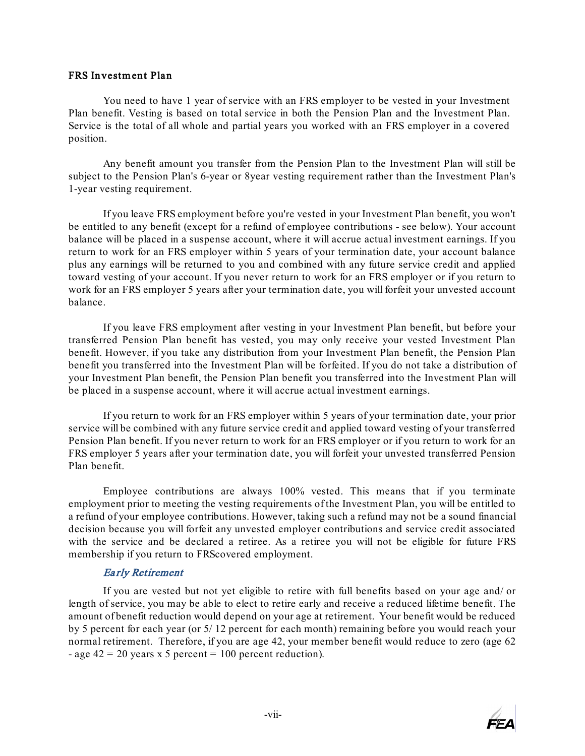#### FRS Investm ent Plan

You need to have 1 year of service with an FRS employer to be vested in your Investment Plan benefit. Vesting is based on total service in both the Pension Plan and the Investment Plan. Service is the total of all whole and partial years you worked with an FRS employer in a covered position.

Any benefit amount you transfer from the Pension Plan to the Investment Plan will still be subject to the Pension Plan's 6-year or 8year vesting requirement rather than the Investment Plan's 1-year vesting requirement.

If you leave FRS employment before you're vested in your Investment Plan benefit, you won't be entitled to any benefit (except for a refund of employee contributions - see below). Your account balance will be placed in a suspense account, where it will accrue actual investment earnings. If you return to work for an FRS employer within 5 years of your termination date, your account balance plus any earnings will be returned to you and combined with any future service credit and applied toward vesting of your account. If you never return to work for an FRS employer or if you return to work for an FRS employer 5 years after your termination date, you will forfeit your unvested account balance.

If you leave FRS employment after vesting in your Investment Plan benefit, but before your transferred Pension Plan benefit has vested, you may only receive your vested Investment Plan benefit. However, if you take any distribution from your Investment Plan benefit, the Pension Plan benefit you transferred into the Investment Plan will be forfeited. If you do not take a distribution of your Investment Plan benefit, the Pension Plan benefit you transferred into the Investment Plan will be placed in a suspense account, where it will accrue actual investment earnings.

If you return to work for an FRS employer within 5 years of your termination date, your prior service will be combined with any future service credit and applied toward vesting of your transferred Pension Plan benefit. If you never return to work for an FRS employer or if you return to work for an FRS employer 5 years after your termination date, you will forfeit your unvested transferred Pension Plan benefit.

Employee contributions are always 100% vested. This means that if you terminate employment prior to meeting the vesting requirements of the Investment Plan, you will be entitled to a refund of your employee contributions. However, taking such a refund may not be a sound financial decision because you will forfeit any unvested employer contributions and service credit associated with the service and be declared a retiree. As a retiree you will not be eligible for future FRS membership if you return to FRScovered employment.

#### Ea rly Retirement

<span id="page-35-0"></span>If you are vested but not yet eligible to retire with full benefits based on your age and/ or length of service, you may be able to elect to retire early and receive a reduced lifetime benefit. The amount of benefit reduction would depend on your age at retirement. Your benefit would be reduced by 5 percent for each year (or 5/ 12 percent for each month) remaining before you would reach your normal retirement. Therefore, if you are age 42, your member benefit would reduce to zero (age 62 - age  $42 = 20$  years x 5 percent = 100 percent reduction).